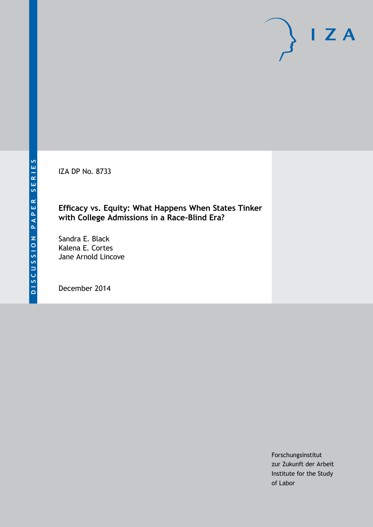IZA DP No. 8733

### **Efficacy vs. Equity: What Happens When States Tinker with College Admissions in a Race-Blind Era?**

Sandra E. Black Kalena E. Cortes Jane Arnold Lincove

December 2014

Forschungsinstitut zur Zukunft der Arbeit Institute for the Study of Labor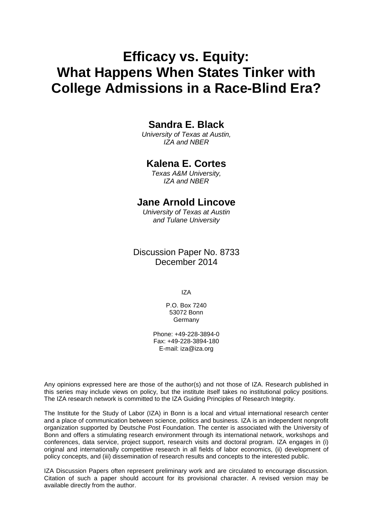# **Efficacy vs. Equity: What Happens When States Tinker with College Admissions in a Race-Blind Era?**

## **Sandra E. Black**

*University of Texas at Austin, IZA and NBER*

## **Kalena E. Cortes**

*Texas A&M University, IZA and NBER*

### **Jane Arnold Lincove**

*University of Texas at Austin and Tulane University*

Discussion Paper No. 8733 December 2014

IZA

P.O. Box 7240 53072 Bonn Germany

Phone: +49-228-3894-0 Fax: +49-228-3894-180 E-mail: [iza@iza.org](mailto:iza@iza.org)

Any opinions expressed here are those of the author(s) and not those of IZA. Research published in this series may include views on policy, but the institute itself takes no institutional policy positions. The IZA research network is committed to the IZA Guiding Principles of Research Integrity.

<span id="page-1-0"></span>The Institute for the Study of Labor (IZA) in Bonn is a local and virtual international research center and a place of communication between science, politics and business. IZA is an independent nonprofit organization supported by Deutsche Post Foundation. The center is associated with the University of Bonn and offers a stimulating research environment through its international network, workshops and conferences, data service, project support, research visits and doctoral program. IZA engages in (i) original and internationally competitive research in all fields of labor economics, (ii) development of policy concepts, and (iii) dissemination of research results and concepts to the interested public.

IZA Discussion Papers often represent preliminary work and are circulated to encourage discussion. Citation of such a paper should account for its provisional character. A revised version may be available directly from the author.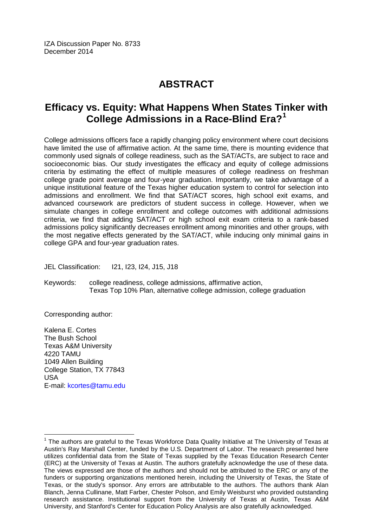## **ABSTRACT**

## **Efficacy vs. Equity: What Happens When States Tinker with College Admissions in a Race-Blind Era?[1](#page-1-0)**

College admissions officers face a rapidly changing policy environment where court decisions have limited the use of affirmative action. At the same time, there is mounting evidence that commonly used signals of college readiness, such as the SAT/ACTs, are subject to race and socioeconomic bias. Our study investigates the efficacy and equity of college admissions criteria by estimating the effect of multiple measures of college readiness on freshman college grade point average and four-year graduation. Importantly, we take advantage of a unique institutional feature of the Texas higher education system to control for selection into admissions and enrollment. We find that SAT/ACT scores, high school exit exams, and advanced coursework are predictors of student success in college. However, when we simulate changes in college enrollment and college outcomes with additional admissions criteria, we find that adding SAT/ACT or high school exit exam criteria to a rank-based admissions policy significantly decreases enrollment among minorities and other groups, with the most negative effects generated by the SAT/ACT, while inducing only minimal gains in college GPA and four-year graduation rates.

JEL Classification: I21, I23, I24, J15, J18

Keywords: college readiness, college admissions, affirmative action, Texas Top 10% Plan, alternative college admission, college graduation

Corresponding author:

Kalena E. Cortes The Bush School Texas A&M University 4220 TAMU 1049 Allen Building College Station, TX 77843 USA E-mail: [kcortes@tamu.edu](mailto:kcortes@tamu.edu)

 $<sup>1</sup>$  The authors are grateful to the Texas Workforce Data Quality Initiative at The University of Texas at</sup> Austin's Ray Marshall Center, funded by the U.S. Department of Labor. The research presented here utilizes confidential data from the State of Texas supplied by the Texas Education Research Center (ERC) at the University of Texas at Austin. The authors gratefully acknowledge the use of these data. The views expressed are those of the authors and should not be attributed to the ERC or any of the funders or supporting organizations mentioned herein, including the University of Texas, the State of Texas, or the study's sponsor. Any errors are attributable to the authors. The authors thank Alan Blanch, Jenna Cullinane, Matt Farber, Chester Polson, and Emily Weisburst who provided outstanding research assistance. Institutional support from the University of Texas at Austin, Texas A&M University, and Stanford's Center for Education Policy Analysis are also gratefully acknowledged.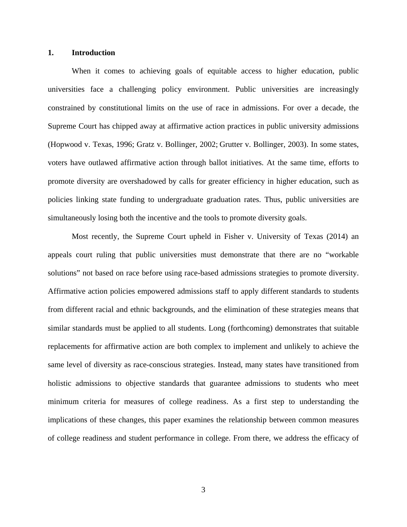#### **1. Introduction**

When it comes to achieving goals of equitable access to higher education, public universities face a challenging policy environment. Public universities are increasingly constrained by constitutional limits on the use of race in admissions. For over a decade, the Supreme Court has chipped away at affirmative action practices in public university admissions (Hopwood v. Texas, 1996; Gratz v. Bollinger, 2002; Grutter v. Bollinger, 2003). In some states, voters have outlawed affirmative action through ballot initiatives. At the same time, efforts to promote diversity are overshadowed by calls for greater efficiency in higher education, such as policies linking state funding to undergraduate graduation rates. Thus, public universities are simultaneously losing both the incentive and the tools to promote diversity goals.

Most recently, the Supreme Court upheld in Fisher v. University of Texas (2014) an appeals court ruling that public universities must demonstrate that there are no "workable solutions" not based on race before using race-based admissions strategies to promote diversity. Affirmative action policies empowered admissions staff to apply different standards to students from different racial and ethnic backgrounds, and the elimination of these strategies means that similar standards must be applied to all students. Long (forthcoming) demonstrates that suitable replacements for affirmative action are both complex to implement and unlikely to achieve the same level of diversity as race-conscious strategies. Instead, many states have transitioned from holistic admissions to objective standards that guarantee admissions to students who meet minimum criteria for measures of college readiness. As a first step to understanding the implications of these changes, this paper examines the relationship between common measures of college readiness and student performance in college. From there, we address the efficacy of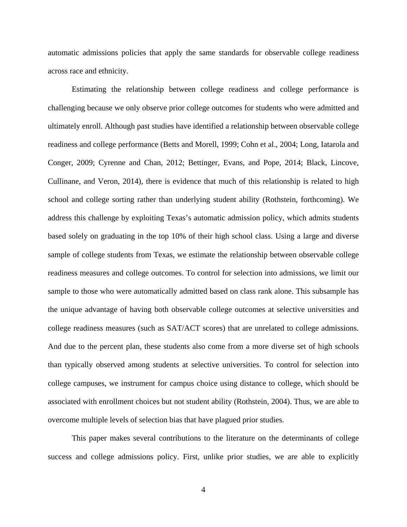automatic admissions policies that apply the same standards for observable college readiness across race and ethnicity.

Estimating the relationship between college readiness and college performance is challenging because we only observe prior college outcomes for students who were admitted and ultimately enroll. Although past studies have identified a relationship between observable college readiness and college performance (Betts and Morell, 1999; Cohn et al., 2004; Long, Iatarola and Conger, 2009; Cyrenne and Chan, 2012; Bettinger, Evans, and Pope, 2014; Black, Lincove, Cullinane, and Veron, 2014), there is evidence that much of this relationship is related to high school and college sorting rather than underlying student ability (Rothstein, forthcoming). We address this challenge by exploiting Texas's automatic admission policy, which admits students based solely on graduating in the top 10% of their high school class. Using a large and diverse sample of college students from Texas, we estimate the relationship between observable college readiness measures and college outcomes. To control for selection into admissions, we limit our sample to those who were automatically admitted based on class rank alone. This subsample has the unique advantage of having both observable college outcomes at selective universities and college readiness measures (such as SAT/ACT scores) that are unrelated to college admissions. And due to the percent plan, these students also come from a more diverse set of high schools than typically observed among students at selective universities. To control for selection into college campuses, we instrument for campus choice using distance to college, which should be associated with enrollment choices but not student ability (Rothstein, 2004). Thus, we are able to overcome multiple levels of selection bias that have plagued prior studies.

This paper makes several contributions to the literature on the determinants of college success and college admissions policy. First, unlike prior studies, we are able to explicitly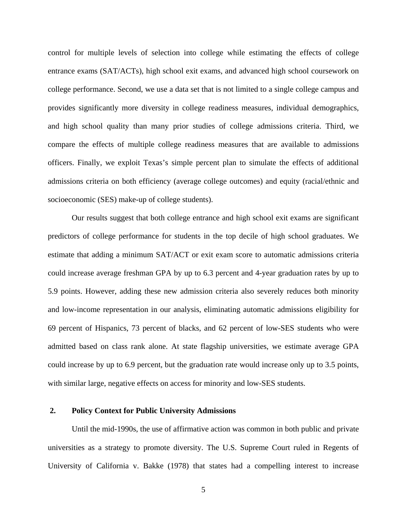control for multiple levels of selection into college while estimating the effects of college entrance exams (SAT/ACTs), high school exit exams, and advanced high school coursework on college performance. Second, we use a data set that is not limited to a single college campus and provides significantly more diversity in college readiness measures, individual demographics, and high school quality than many prior studies of college admissions criteria. Third, we compare the effects of multiple college readiness measures that are available to admissions officers. Finally, we exploit Texas's simple percent plan to simulate the effects of additional admissions criteria on both efficiency (average college outcomes) and equity (racial/ethnic and socioeconomic (SES) make-up of college students).

Our results suggest that both college entrance and high school exit exams are significant predictors of college performance for students in the top decile of high school graduates. We estimate that adding a minimum SAT/ACT or exit exam score to automatic admissions criteria could increase average freshman GPA by up to 6.3 percent and 4-year graduation rates by up to 5.9 points. However, adding these new admission criteria also severely reduces both minority and low-income representation in our analysis, eliminating automatic admissions eligibility for 69 percent of Hispanics, 73 percent of blacks, and 62 percent of low-SES students who were admitted based on class rank alone. At state flagship universities, we estimate average GPA could increase by up to 6.9 percent, but the graduation rate would increase only up to 3.5 points, with similar large, negative effects on access for minority and low-SES students.

#### **2. Policy Context for Public University Admissions**

Until the mid-1990s, the use of affirmative action was common in both public and private universities as a strategy to promote diversity. The U.S. Supreme Court ruled in Regents of University of California v. Bakke (1978) that states had a compelling interest to increase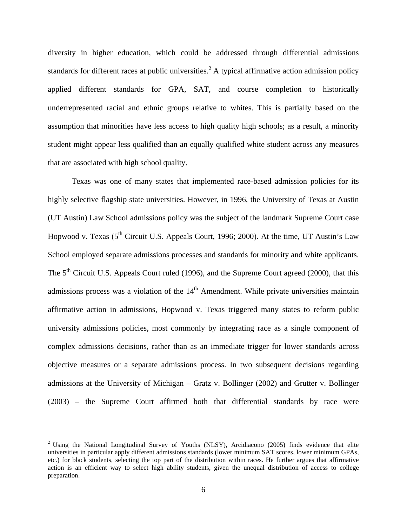diversity in higher education, which could be addressed through differential admissions standards for different races at public universities.<sup>2</sup> A typical affirmative action admission policy applied different standards for GPA, SAT, and course completion to historically underrepresented racial and ethnic groups relative to whites. This is partially based on the assumption that minorities have less access to high quality high schools; as a result, a minority student might appear less qualified than an equally qualified white student across any measures that are associated with high school quality.

Texas was one of many states that implemented race-based admission policies for its highly selective flagship state universities. However, in 1996, the University of Texas at Austin (UT Austin) Law School admissions policy was the subject of the landmark Supreme Court case Hopwood v. Texas  $(5^{th}$  Circuit U.S. Appeals Court, 1996; 2000). At the time, UT Austin's Law School employed separate admissions processes and standards for minority and white applicants. The 5<sup>th</sup> Circuit U.S. Appeals Court ruled (1996), and the Supreme Court agreed (2000), that this admissions process was a violation of the  $14<sup>th</sup>$  Amendment. While private universities maintain affirmative action in admissions, Hopwood v. Texas triggered many states to reform public university admissions policies, most commonly by integrating race as a single component of complex admissions decisions, rather than as an immediate trigger for lower standards across objective measures or a separate admissions process. In two subsequent decisions regarding admissions at the University of Michigan – Gratz v. Bollinger (2002) and Grutter v. Bollinger (2003) – the Supreme Court affirmed both that differential standards by race were

<sup>&</sup>lt;sup>2</sup> Using the National Longitudinal Survey of Youths (NLSY), Arcidiacono (2005) finds evidence that elite universities in particular apply different admissions standards (lower minimum SAT scores, lower minimum GPAs, etc.) for black students, selecting the top part of the distribution within races. He further argues that affirmative action is an efficient way to select high ability students, given the unequal distribution of access to college preparation.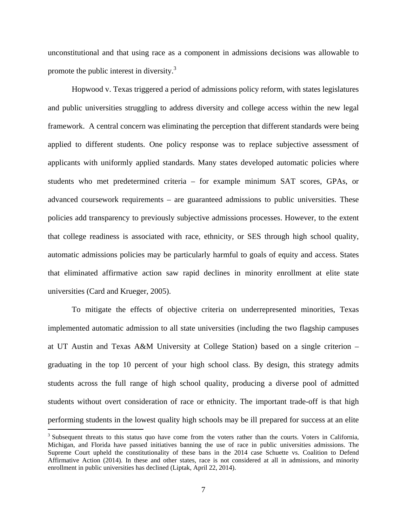unconstitutional and that using race as a component in admissions decisions was allowable to promote the public interest in diversity.<sup>3</sup>

 Hopwood v. Texas triggered a period of admissions policy reform, with states legislatures and public universities struggling to address diversity and college access within the new legal framework. A central concern was eliminating the perception that different standards were being applied to different students. One policy response was to replace subjective assessment of applicants with uniformly applied standards. Many states developed automatic policies where students who met predetermined criteria – for example minimum SAT scores, GPAs, or advanced coursework requirements – are guaranteed admissions to public universities. These policies add transparency to previously subjective admissions processes. However, to the extent that college readiness is associated with race, ethnicity, or SES through high school quality, automatic admissions policies may be particularly harmful to goals of equity and access. States that eliminated affirmative action saw rapid declines in minority enrollment at elite state universities (Card and Krueger, 2005).

To mitigate the effects of objective criteria on underrepresented minorities, Texas implemented automatic admission to all state universities (including the two flagship campuses at UT Austin and Texas A&M University at College Station) based on a single criterion – graduating in the top 10 percent of your high school class. By design, this strategy admits students across the full range of high school quality, producing a diverse pool of admitted students without overt consideration of race or ethnicity. The important trade-off is that high performing students in the lowest quality high schools may be ill prepared for success at an elite

<u>.</u>

 $3$  Subsequent threats to this status quo have come from the voters rather than the courts. Voters in California, Michigan, and Florida have passed initiatives banning the use of race in public universities admissions. The Supreme Court upheld the constitutionality of these bans in the 2014 case Schuette vs. Coalition to Defend Affirmative Action (2014). In these and other states, race is not considered at all in admissions, and minority enrollment in public universities has declined (Liptak, April 22, 2014).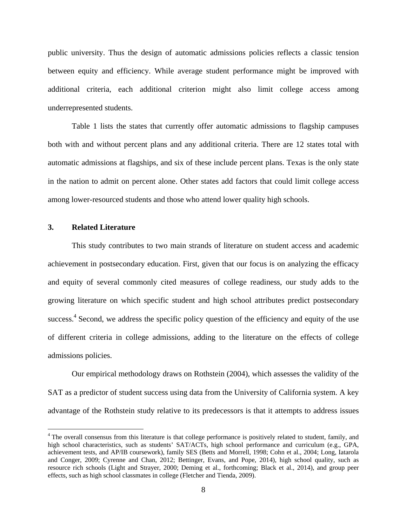public university. Thus the design of automatic admissions policies reflects a classic tension between equity and efficiency. While average student performance might be improved with additional criteria, each additional criterion might also limit college access among underrepresented students.

Table 1 lists the states that currently offer automatic admissions to flagship campuses both with and without percent plans and any additional criteria. There are 12 states total with automatic admissions at flagships, and six of these include percent plans. Texas is the only state in the nation to admit on percent alone. Other states add factors that could limit college access among lower-resourced students and those who attend lower quality high schools.

#### **3. Related Literature**

-

This study contributes to two main strands of literature on student access and academic achievement in postsecondary education. First, given that our focus is on analyzing the efficacy and equity of several commonly cited measures of college readiness, our study adds to the growing literature on which specific student and high school attributes predict postsecondary success.<sup>4</sup> Second, we address the specific policy question of the efficiency and equity of the use of different criteria in college admissions, adding to the literature on the effects of college admissions policies.

Our empirical methodology draws on Rothstein (2004), which assesses the validity of the SAT as a predictor of student success using data from the University of California system. A key advantage of the Rothstein study relative to its predecessors is that it attempts to address issues

<sup>&</sup>lt;sup>4</sup> The overall consensus from this literature is that college performance is positively related to student, family, and high school characteristics, such as students' SAT/ACTs, high school performance and curriculum (e.g., GPA, achievement tests, and AP/IB coursework), family SES (Betts and Morrell, 1998; Cohn et al., 2004; Long, Iatarola and Conger, 2009; Cyrenne and Chan, 2012; Bettinger, Evans, and Pope, 2014), high school quality, such as resource rich schools (Light and Strayer, 2000; Deming et al., forthcoming; Black et al., 2014), and group peer effects, such as high school classmates in college (Fletcher and Tienda, 2009).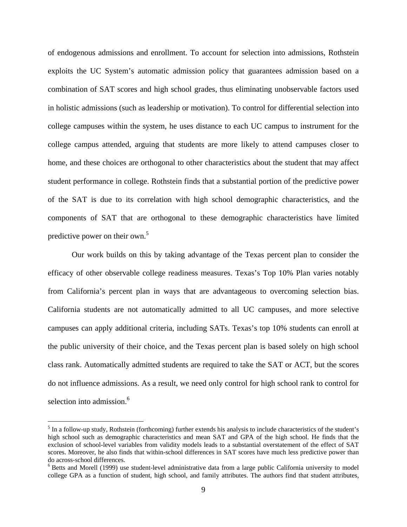of endogenous admissions and enrollment. To account for selection into admissions, Rothstein exploits the UC System's automatic admission policy that guarantees admission based on a combination of SAT scores and high school grades, thus eliminating unobservable factors used in holistic admissions (such as leadership or motivation). To control for differential selection into college campuses within the system, he uses distance to each UC campus to instrument for the college campus attended, arguing that students are more likely to attend campuses closer to home, and these choices are orthogonal to other characteristics about the student that may affect student performance in college. Rothstein finds that a substantial portion of the predictive power of the SAT is due to its correlation with high school demographic characteristics, and the components of SAT that are orthogonal to these demographic characteristics have limited predictive power on their own.<sup>5</sup>

Our work builds on this by taking advantage of the Texas percent plan to consider the efficacy of other observable college readiness measures. Texas's Top 10% Plan varies notably from California's percent plan in ways that are advantageous to overcoming selection bias. California students are not automatically admitted to all UC campuses, and more selective campuses can apply additional criteria, including SATs. Texas's top 10% students can enroll at the public university of their choice, and the Texas percent plan is based solely on high school class rank. Automatically admitted students are required to take the SAT or ACT, but the scores do not influence admissions. As a result, we need only control for high school rank to control for selection into admission.<sup>6</sup>

 $<sup>5</sup>$  In a follow-up study, Rothstein (forthcoming) further extends his analysis to include characteristics of the student's</sup> high school such as demographic characteristics and mean SAT and GPA of the high school. He finds that the exclusion of school-level variables from validity models leads to a substantial overstatement of the effect of SAT scores. Moreover, he also finds that within-school differences in SAT scores have much less predictive power than do across-school differences.

<sup>&</sup>lt;sup>6</sup> Betts and Morell (1999) use student-level administrative data from a large public California university to model college GPA as a function of student, high school, and family attributes. The authors find that student attributes,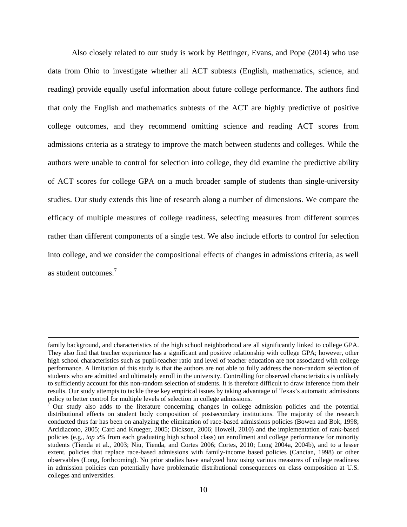Also closely related to our study is work by Bettinger, Evans, and Pope (2014) who use data from Ohio to investigate whether all ACT subtests (English, mathematics, science, and reading) provide equally useful information about future college performance. The authors find that only the English and mathematics subtests of the ACT are highly predictive of positive college outcomes, and they recommend omitting science and reading ACT scores from admissions criteria as a strategy to improve the match between students and colleges. While the authors were unable to control for selection into college, they did examine the predictive ability of ACT scores for college GPA on a much broader sample of students than single-university studies. Our study extends this line of research along a number of dimensions. We compare the efficacy of multiple measures of college readiness, selecting measures from different sources rather than different components of a single test. We also include efforts to control for selection into college, and we consider the compositional effects of changes in admissions criteria, as well as student outcomes.7

family background, and characteristics of the high school neighborhood are all significantly linked to college GPA. They also find that teacher experience has a significant and positive relationship with college GPA; however, other high school characteristics such as pupil-teacher ratio and level of teacher education are not associated with college performance. A limitation of this study is that the authors are not able to fully address the non-random selection of students who are admitted and ultimately enroll in the university. Controlling for observed characteristics is unlikely to sufficiently account for this non-random selection of students. It is therefore difficult to draw inference from their results. Our study attempts to tackle these key empirical issues by taking advantage of Texas's automatic admissions policy to better control for multiple levels of selection in college admissions.

<sup>7</sup> Our study also adds to the literature concerning changes in college admission policies and the potential distributional effects on student body composition of postsecondary institutions. The majority of the research conducted thus far has been on analyzing the elimination of race-based admissions policies (Bowen and Bok, 1998; Arcidiacono, 2005; Card and Krueger, 2005; Dickson, 2006; Howell, 2010) and the implementation of rank-based policies (e.g., *top x%* from each graduating high school class) on enrollment and college performance for minority students (Tienda et al., 2003; Niu, Tienda, and Cortes 2006; Cortes, 2010; Long 2004a, 2004b), and to a lesser extent, policies that replace race-based admissions with family-income based policies (Cancian, 1998) or other observables (Long, forthcoming). No prior studies have analyzed how using various measures of college readiness in admission policies can potentially have problematic distributional consequences on class composition at U.S. colleges and universities.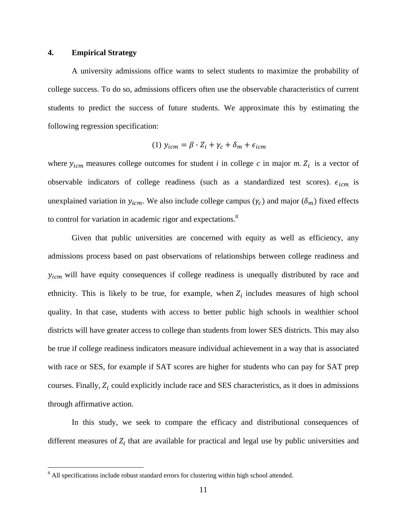#### **4. Empirical Strategy**

 A university admissions office wants to select students to maximize the probability of college success. To do so, admissions officers often use the observable characteristics of current students to predict the success of future students. We approximate this by estimating the following regression specification:

(1) 
$$
y_{icm} = \beta \cdot Z_i + \gamma_c + \delta_m + \epsilon_{icm}
$$

where  $y_{icm}$  measures college outcomes for student *i* in college *c* in major *m*.  $Z_i$  is a vector of observable indicators of college readiness (such as a standardized test scores).  $\epsilon_{icm}$  is unexplained variation in  $y_{icm}$ . We also include college campus  $(\gamma_c)$  and major  $(\delta_m)$  fixed effects to control for variation in academic rigor and expectations. $8$ 

Given that public universities are concerned with equity as well as efficiency, any admissions process based on past observations of relationships between college readiness and  $y_{icm}$  will have equity consequences if college readiness is unequally distributed by race and ethnicity. This is likely to be true, for example, when  $Z_i$  includes measures of high school quality. In that case, students with access to better public high schools in wealthier school districts will have greater access to college than students from lower SES districts. This may also be true if college readiness indicators measure individual achievement in a way that is associated with race or SES, for example if SAT scores are higher for students who can pay for SAT prep courses. Finally,  $Z_i$  could explicitly include race and SES characteristics, as it does in admissions through affirmative action.

In this study, we seek to compare the efficacy and distributional consequences of different measures of  $Z_i$  that are available for practical and legal use by public universities and

 $8$  All specifications include robust standard errors for clustering within high school attended.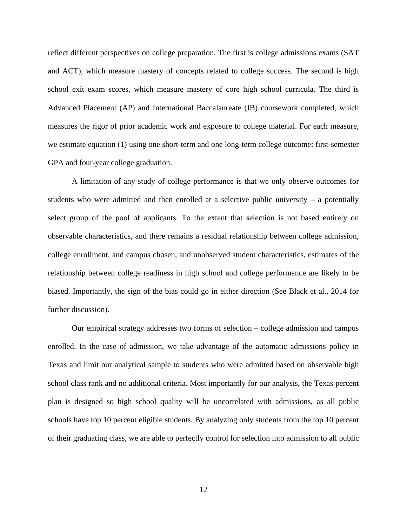reflect different perspectives on college preparation. The first is college admissions exams (SAT and ACT), which measure mastery of concepts related to college success. The second is high school exit exam scores, which measure mastery of core high school curricula. The third is Advanced Placement (AP) and International Baccalaureate (IB) coursework completed, which measures the rigor of prior academic work and exposure to college material. For each measure, we estimate equation (1) using one short-term and one long-term college outcome: first-semester GPA and four-year college graduation.

A limitation of any study of college performance is that we only observe outcomes for students who were admitted and then enrolled at a selective public university – a potentially select group of the pool of applicants. To the extent that selection is not based entirely on observable characteristics, and there remains a residual relationship between college admission, college enrollment, and campus chosen, and unobserved student characteristics, estimates of the relationship between college readiness in high school and college performance are likely to be biased. Importantly, the sign of the bias could go in either direction (See Black et al., 2014 for further discussion).

Our empirical strategy addresses two forms of selection – college admission and campus enrolled. In the case of admission, we take advantage of the automatic admissions policy in Texas and limit our analytical sample to students who were admitted based on observable high school class rank and no additional criteria. Most importantly for our analysis, the Texas percent plan is designed so high school quality will be uncorrelated with admissions, as all public schools have top 10 percent eligible students. By analyzing only students from the top 10 percent of their graduating class, we are able to perfectly control for selection into admission to all public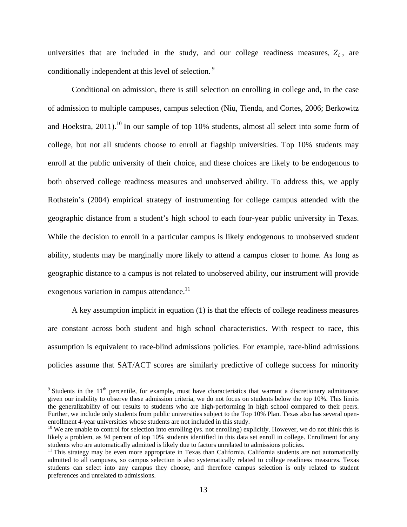universities that are included in the study, and our college readiness measures,  $Z_i$ , are conditionally independent at this level of selection.<sup>9</sup>

Conditional on admission, there is still selection on enrolling in college and, in the case of admission to multiple campuses, campus selection (Niu, Tienda, and Cortes, 2006; Berkowitz and Hoekstra,  $2011$ .<sup>10</sup> In our sample of top 10% students, almost all select into some form of college, but not all students choose to enroll at flagship universities. Top 10% students may enroll at the public university of their choice, and these choices are likely to be endogenous to both observed college readiness measures and unobserved ability. To address this, we apply Rothstein's (2004) empirical strategy of instrumenting for college campus attended with the geographic distance from a student's high school to each four-year public university in Texas. While the decision to enroll in a particular campus is likely endogenous to unobserved student ability, students may be marginally more likely to attend a campus closer to home. As long as geographic distance to a campus is not related to unobserved ability, our instrument will provide exogenous variation in campus attendance.<sup>11</sup>

A key assumption implicit in equation (1) is that the effects of college readiness measures are constant across both student and high school characteristics. With respect to race, this assumption is equivalent to race-blind admissions policies. For example, race-blind admissions policies assume that SAT/ACT scores are similarly predictive of college success for minority

 $9$  Students in the 11<sup>th</sup> percentile, for example, must have characteristics that warrant a discretionary admittance; given our inability to observe these admission criteria, we do not focus on students below the top 10%. This limits the generalizability of our results to students who are high-performing in high school compared to their peers. Further, we include only students from public universities subject to the Top 10% Plan. Texas also has several openenrollment 4-year universities whose students are not included in this study.

 $10$  We are unable to control for selection into enrolling (vs. not enrolling) explicitly. However, we do not think this is likely a problem, as 94 percent of top 10% students identified in this data set enroll in college. Enrollment for any students who are automatically admitted is likely due to factors unrelated to admissions policies.

 $11$  This strategy may be even more appropriate in Texas than California. California students are not automatically admitted to all campuses, so campus selection is also systematically related to college readiness measures. Texas students can select into any campus they choose, and therefore campus selection is only related to student preferences and unrelated to admissions.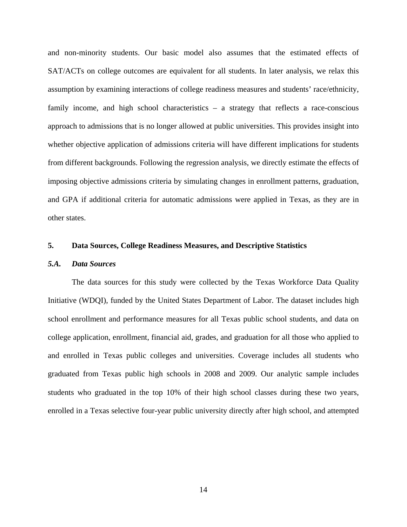and non-minority students. Our basic model also assumes that the estimated effects of SAT/ACTs on college outcomes are equivalent for all students. In later analysis, we relax this assumption by examining interactions of college readiness measures and students' race/ethnicity, family income, and high school characteristics – a strategy that reflects a race-conscious approach to admissions that is no longer allowed at public universities. This provides insight into whether objective application of admissions criteria will have different implications for students from different backgrounds. Following the regression analysis, we directly estimate the effects of imposing objective admissions criteria by simulating changes in enrollment patterns, graduation, and GPA if additional criteria for automatic admissions were applied in Texas, as they are in other states.

#### **5. Data Sources, College Readiness Measures, and Descriptive Statistics**

#### *5.A. Data Sources*

The data sources for this study were collected by the Texas Workforce Data Quality Initiative (WDQI), funded by the United States Department of Labor. The dataset includes high school enrollment and performance measures for all Texas public school students, and data on college application, enrollment, financial aid, grades, and graduation for all those who applied to and enrolled in Texas public colleges and universities. Coverage includes all students who graduated from Texas public high schools in 2008 and 2009. Our analytic sample includes students who graduated in the top 10% of their high school classes during these two years, enrolled in a Texas selective four-year public university directly after high school, and attempted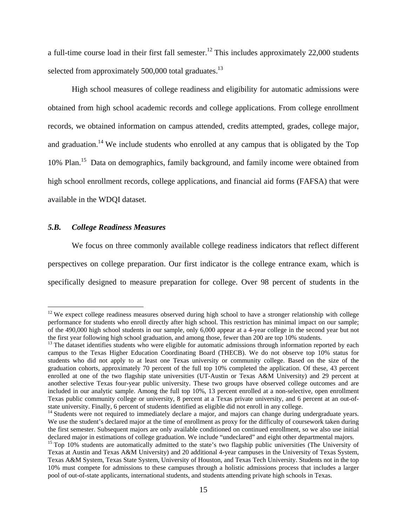a full-time course load in their first fall semester.<sup>12</sup> This includes approximately 22,000 students selected from approximately  $500,000$  total graduates.<sup>13</sup>

High school measures of college readiness and eligibility for automatic admissions were obtained from high school academic records and college applications. From college enrollment records, we obtained information on campus attended, credits attempted, grades, college major, and graduation.<sup>14</sup> We include students who enrolled at any campus that is obligated by the Top 10% Plan.15 Data on demographics, family background, and family income were obtained from high school enrollment records, college applications, and financial aid forms (FAFSA) that were available in the WDQI dataset.

#### *5.B. College Readiness Measures*

-

We focus on three commonly available college readiness indicators that reflect different perspectives on college preparation. Our first indicator is the college entrance exam, which is specifically designed to measure preparation for college. Over 98 percent of students in the

 $12$  We expect college readiness measures observed during high school to have a stronger relationship with college performance for students who enroll directly after high school. This restriction has minimal impact on our sample; of the 490,000 high school students in our sample, only 6,000 appear at a 4-year college in the second year but not the first year following high school graduation, and among those, fewer than 200 are top 10% students.

 $13$  The dataset identifies students who were eligible for automatic admissions through information reported by each campus to the Texas Higher Education Coordinating Board (THECB). We do not observe top 10% status for students who did not apply to at least one Texas university or community college. Based on the size of the graduation cohorts, approximately 70 percent of the full top 10% completed the application. Of these, 43 percent enrolled at one of the two flagship state universities (UT-Austin or Texas A&M University) and 29 percent at another selective Texas four-year public university. These two groups have observed college outcomes and are included in our analytic sample. Among the full top 10%, 13 percent enrolled at a non-selective, open enrollment Texas public community college or university, 8 percent at a Texas private university, and 6 percent at an out-ofstate university. Finally, 6 percent of students identified as eligible did not enroll in any college.

<sup>&</sup>lt;sup>14</sup> Students were not required to immediately declare a major, and majors can change during undergraduate years. We use the student's declared major at the time of enrollment as proxy for the difficulty of coursework taken during the first semester. Subsequent majors are only available conditioned on continued enrollment, so we also use initial declared major in estimations of college graduation. We include "undeclared" and eight other departmental

<sup>&</sup>lt;sup>15</sup> Top 10% students are automatically admitted to the state's two flagship public universities (The University of Texas at Austin and Texas A&M University) and 20 additional 4-year campuses in the University of Texas System, Texas A&M System, Texas State System, University of Houston, and Texas Tech University. Students not in the top 10% must compete for admissions to these campuses through a holistic admissions process that includes a larger pool of out-of-state applicants, international students, and students attending private high schools in Texas.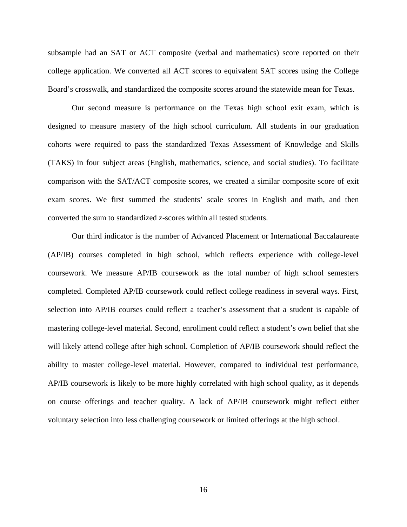subsample had an SAT or ACT composite (verbal and mathematics) score reported on their college application. We converted all ACT scores to equivalent SAT scores using the College Board's crosswalk, and standardized the composite scores around the statewide mean for Texas.

Our second measure is performance on the Texas high school exit exam, which is designed to measure mastery of the high school curriculum. All students in our graduation cohorts were required to pass the standardized Texas Assessment of Knowledge and Skills (TAKS) in four subject areas (English, mathematics, science, and social studies). To facilitate comparison with the SAT/ACT composite scores, we created a similar composite score of exit exam scores. We first summed the students' scale scores in English and math, and then converted the sum to standardized z-scores within all tested students.

Our third indicator is the number of Advanced Placement or International Baccalaureate (AP/IB) courses completed in high school, which reflects experience with college-level coursework. We measure AP/IB coursework as the total number of high school semesters completed. Completed AP/IB coursework could reflect college readiness in several ways. First, selection into AP/IB courses could reflect a teacher's assessment that a student is capable of mastering college-level material. Second, enrollment could reflect a student's own belief that she will likely attend college after high school. Completion of AP/IB coursework should reflect the ability to master college-level material. However, compared to individual test performance, AP/IB coursework is likely to be more highly correlated with high school quality, as it depends on course offerings and teacher quality. A lack of AP/IB coursework might reflect either voluntary selection into less challenging coursework or limited offerings at the high school.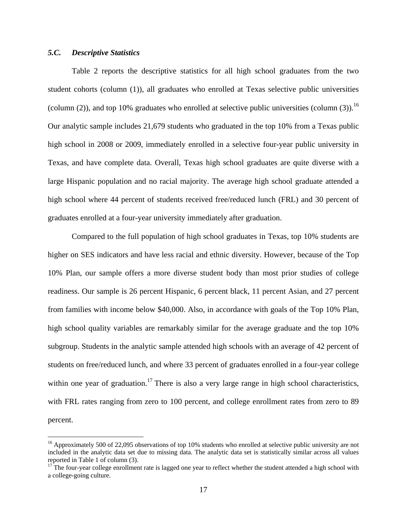#### *5.C. Descriptive Statistics*

 $\overline{a}$ 

Table 2 reports the descriptive statistics for all high school graduates from the two student cohorts (column (1)), all graduates who enrolled at Texas selective public universities (column (2)), and top 10% graduates who enrolled at selective public universities (column (3)).<sup>16</sup> Our analytic sample includes 21,679 students who graduated in the top 10% from a Texas public high school in 2008 or 2009, immediately enrolled in a selective four-year public university in Texas, and have complete data. Overall, Texas high school graduates are quite diverse with a large Hispanic population and no racial majority. The average high school graduate attended a high school where 44 percent of students received free/reduced lunch (FRL) and 30 percent of graduates enrolled at a four-year university immediately after graduation.

Compared to the full population of high school graduates in Texas, top 10% students are higher on SES indicators and have less racial and ethnic diversity. However, because of the Top 10% Plan, our sample offers a more diverse student body than most prior studies of college readiness. Our sample is 26 percent Hispanic, 6 percent black, 11 percent Asian, and 27 percent from families with income below \$40,000. Also, in accordance with goals of the Top 10% Plan, high school quality variables are remarkably similar for the average graduate and the top 10% subgroup. Students in the analytic sample attended high schools with an average of 42 percent of students on free/reduced lunch, and where 33 percent of graduates enrolled in a four-year college within one year of graduation.<sup>17</sup> There is also a very large range in high school characteristics, with FRL rates ranging from zero to 100 percent, and college enrollment rates from zero to 89 percent.

<sup>&</sup>lt;sup>16</sup> Approximately 500 of 22,095 observations of top 10% students who enrolled at selective public university are not included in the analytic data set due to missing data. The analytic data set is statistically similar across all values reported in Table 1 of column (3).

 $17$ <sup>T</sup>The four-year college enrollment rate is lagged one year to reflect whether the student attended a high school with a college-going culture.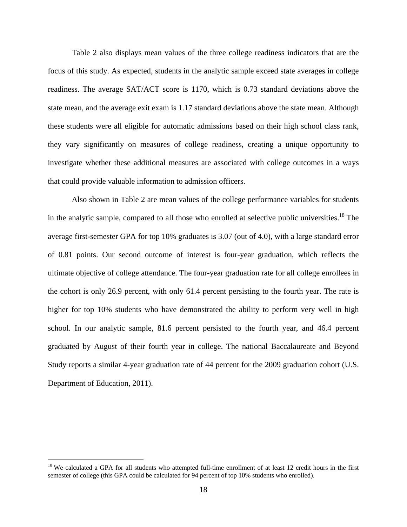Table 2 also displays mean values of the three college readiness indicators that are the focus of this study. As expected, students in the analytic sample exceed state averages in college readiness. The average SAT/ACT score is 1170, which is 0.73 standard deviations above the state mean, and the average exit exam is 1.17 standard deviations above the state mean. Although these students were all eligible for automatic admissions based on their high school class rank, they vary significantly on measures of college readiness, creating a unique opportunity to investigate whether these additional measures are associated with college outcomes in a ways that could provide valuable information to admission officers.

Also shown in Table 2 are mean values of the college performance variables for students in the analytic sample, compared to all those who enrolled at selective public universities.<sup>18</sup> The average first-semester GPA for top 10% graduates is 3.07 (out of 4.0), with a large standard error of 0.81 points. Our second outcome of interest is four-year graduation, which reflects the ultimate objective of college attendance. The four-year graduation rate for all college enrollees in the cohort is only 26.9 percent, with only 61.4 percent persisting to the fourth year. The rate is higher for top 10% students who have demonstrated the ability to perform very well in high school. In our analytic sample, 81.6 percent persisted to the fourth year, and 46.4 percent graduated by August of their fourth year in college. The national Baccalaureate and Beyond Study reports a similar 4-year graduation rate of 44 percent for the 2009 graduation cohort (U.S. Department of Education, 2011).

<sup>&</sup>lt;sup>18</sup> We calculated a GPA for all students who attempted full-time enrollment of at least 12 credit hours in the first semester of college (this GPA could be calculated for 94 percent of top 10% students who enrolled).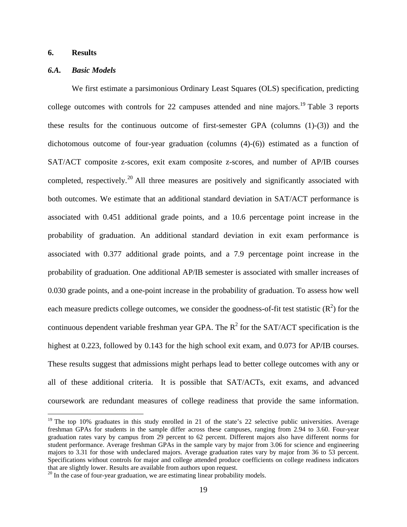#### **6. Results**

 $\overline{a}$ 

#### *6.A. Basic Models*

We first estimate a parsimonious Ordinary Least Squares (OLS) specification, predicting college outcomes with controls for 22 campuses attended and nine majors.<sup>19</sup> Table 3 reports these results for the continuous outcome of first-semester GPA (columns (1)-(3)) and the dichotomous outcome of four-year graduation (columns (4)-(6)) estimated as a function of SAT/ACT composite z-scores, exit exam composite z-scores, and number of AP/IB courses completed, respectively.<sup>20</sup> All three measures are positively and significantly associated with both outcomes. We estimate that an additional standard deviation in SAT/ACT performance is associated with 0.451 additional grade points, and a 10.6 percentage point increase in the probability of graduation. An additional standard deviation in exit exam performance is associated with 0.377 additional grade points, and a 7.9 percentage point increase in the probability of graduation. One additional AP/IB semester is associated with smaller increases of 0.030 grade points, and a one-point increase in the probability of graduation. To assess how well each measure predicts college outcomes, we consider the goodness-of-fit test statistic  $(R^2)$  for the continuous dependent variable freshman year GPA. The  $R^2$  for the SAT/ACT specification is the highest at 0.223, followed by 0.143 for the high school exit exam, and 0.073 for AP/IB courses. These results suggest that admissions might perhaps lead to better college outcomes with any or all of these additional criteria. It is possible that SAT/ACTs, exit exams, and advanced coursework are redundant measures of college readiness that provide the same information.

 $19$  The top 10% graduates in this study enrolled in 21 of the state's 22 selective public universities. Average freshman GPAs for students in the sample differ across these campuses, ranging from 2.94 to 3.60. Four-year graduation rates vary by campus from 29 percent to 62 percent. Different majors also have different norms for student performance. Average freshman GPAs in the sample vary by major from 3.06 for science and engineering majors to 3.31 for those with undeclared majors. Average graduation rates vary by major from 36 to 53 percent. Specifications without controls for major and college attended produce coefficients on college readiness indicators that are slightly lower. Results are available from authors upon request.  $20$  In the case of four-year graduation, we are estimating linear probability models.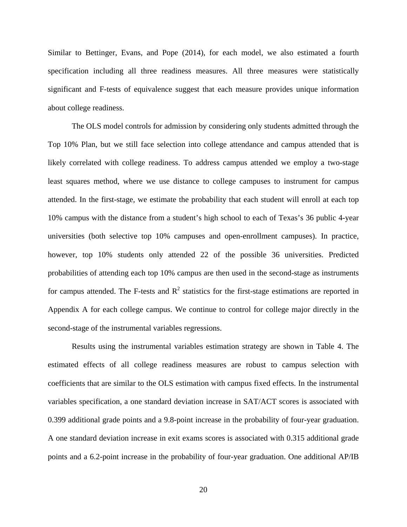Similar to Bettinger, Evans, and Pope (2014), for each model, we also estimated a fourth specification including all three readiness measures. All three measures were statistically significant and F-tests of equivalence suggest that each measure provides unique information about college readiness.

The OLS model controls for admission by considering only students admitted through the Top 10% Plan, but we still face selection into college attendance and campus attended that is likely correlated with college readiness. To address campus attended we employ a two-stage least squares method, where we use distance to college campuses to instrument for campus attended. In the first-stage, we estimate the probability that each student will enroll at each top 10% campus with the distance from a student's high school to each of Texas's 36 public 4-year universities (both selective top 10% campuses and open-enrollment campuses). In practice, however, top 10% students only attended 22 of the possible 36 universities. Predicted probabilities of attending each top 10% campus are then used in the second-stage as instruments for campus attended. The F-tests and  $R^2$  statistics for the first-stage estimations are reported in Appendix A for each college campus. We continue to control for college major directly in the second-stage of the instrumental variables regressions.

Results using the instrumental variables estimation strategy are shown in Table 4. The estimated effects of all college readiness measures are robust to campus selection with coefficients that are similar to the OLS estimation with campus fixed effects. In the instrumental variables specification, a one standard deviation increase in SAT/ACT scores is associated with 0.399 additional grade points and a 9.8-point increase in the probability of four-year graduation. A one standard deviation increase in exit exams scores is associated with 0.315 additional grade points and a 6.2-point increase in the probability of four-year graduation. One additional AP/IB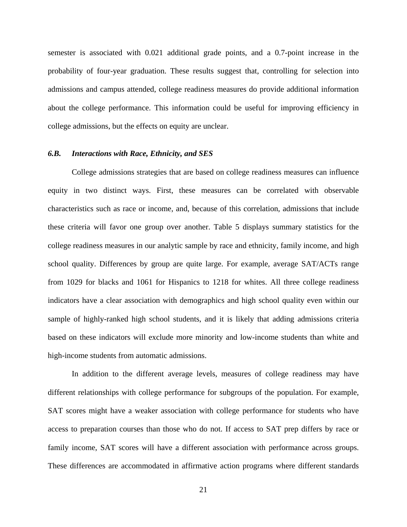semester is associated with 0.021 additional grade points, and a 0.7-point increase in the probability of four-year graduation. These results suggest that, controlling for selection into admissions and campus attended, college readiness measures do provide additional information about the college performance. This information could be useful for improving efficiency in college admissions, but the effects on equity are unclear.

#### *6.B. Interactions with Race, Ethnicity, and SES*

College admissions strategies that are based on college readiness measures can influence equity in two distinct ways. First, these measures can be correlated with observable characteristics such as race or income, and, because of this correlation, admissions that include these criteria will favor one group over another. Table 5 displays summary statistics for the college readiness measures in our analytic sample by race and ethnicity, family income, and high school quality. Differences by group are quite large. For example, average SAT/ACTs range from 1029 for blacks and 1061 for Hispanics to 1218 for whites. All three college readiness indicators have a clear association with demographics and high school quality even within our sample of highly-ranked high school students, and it is likely that adding admissions criteria based on these indicators will exclude more minority and low-income students than white and high-income students from automatic admissions.

 In addition to the different average levels, measures of college readiness may have different relationships with college performance for subgroups of the population. For example, SAT scores might have a weaker association with college performance for students who have access to preparation courses than those who do not. If access to SAT prep differs by race or family income, SAT scores will have a different association with performance across groups. These differences are accommodated in affirmative action programs where different standards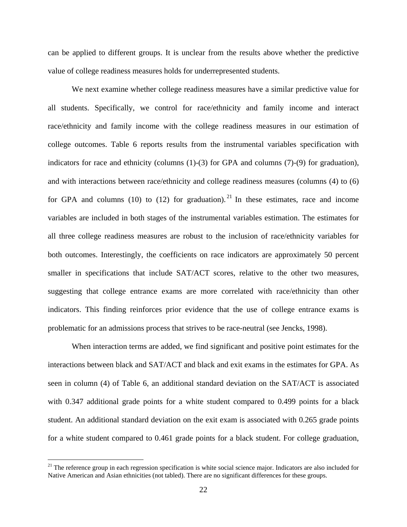can be applied to different groups. It is unclear from the results above whether the predictive value of college readiness measures holds for underrepresented students.

We next examine whether college readiness measures have a similar predictive value for all students. Specifically, we control for race/ethnicity and family income and interact race/ethnicity and family income with the college readiness measures in our estimation of college outcomes. Table 6 reports results from the instrumental variables specification with indicators for race and ethnicity (columns  $(1)-(3)$  for GPA and columns  $(7)-(9)$  for graduation), and with interactions between race/ethnicity and college readiness measures (columns (4) to (6) for GPA and columns (10) to (12) for graduation).<sup>21</sup> In these estimates, race and income variables are included in both stages of the instrumental variables estimation. The estimates for all three college readiness measures are robust to the inclusion of race/ethnicity variables for both outcomes. Interestingly, the coefficients on race indicators are approximately 50 percent smaller in specifications that include SAT/ACT scores, relative to the other two measures, suggesting that college entrance exams are more correlated with race/ethnicity than other indicators. This finding reinforces prior evidence that the use of college entrance exams is problematic for an admissions process that strives to be race-neutral (see Jencks, 1998).

When interaction terms are added, we find significant and positive point estimates for the interactions between black and SAT/ACT and black and exit exams in the estimates for GPA. As seen in column (4) of Table 6, an additional standard deviation on the SAT/ACT is associated with 0.347 additional grade points for a white student compared to 0.499 points for a black student. An additional standard deviation on the exit exam is associated with 0.265 grade points for a white student compared to 0.461 grade points for a black student. For college graduation,

<u>.</u>

 $21$  The reference group in each regression specification is white social science major. Indicators are also included for Native American and Asian ethnicities (not tabled). There are no significant differences for these groups.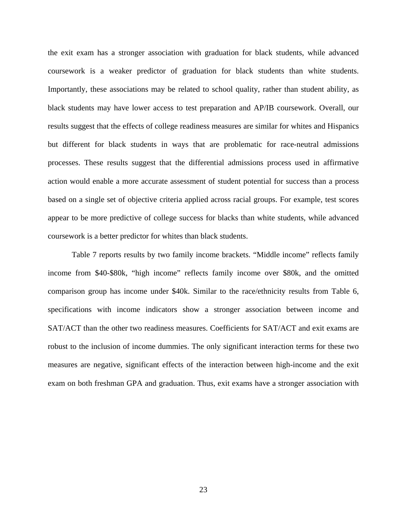the exit exam has a stronger association with graduation for black students, while advanced coursework is a weaker predictor of graduation for black students than white students. Importantly, these associations may be related to school quality, rather than student ability, as black students may have lower access to test preparation and AP/IB coursework. Overall, our results suggest that the effects of college readiness measures are similar for whites and Hispanics but different for black students in ways that are problematic for race-neutral admissions processes. These results suggest that the differential admissions process used in affirmative action would enable a more accurate assessment of student potential for success than a process based on a single set of objective criteria applied across racial groups. For example, test scores appear to be more predictive of college success for blacks than white students, while advanced coursework is a better predictor for whites than black students.

Table 7 reports results by two family income brackets. "Middle income" reflects family income from \$40-\$80k, "high income" reflects family income over \$80k, and the omitted comparison group has income under \$40k. Similar to the race/ethnicity results from Table 6, specifications with income indicators show a stronger association between income and SAT/ACT than the other two readiness measures. Coefficients for SAT/ACT and exit exams are robust to the inclusion of income dummies. The only significant interaction terms for these two measures are negative, significant effects of the interaction between high-income and the exit exam on both freshman GPA and graduation. Thus, exit exams have a stronger association with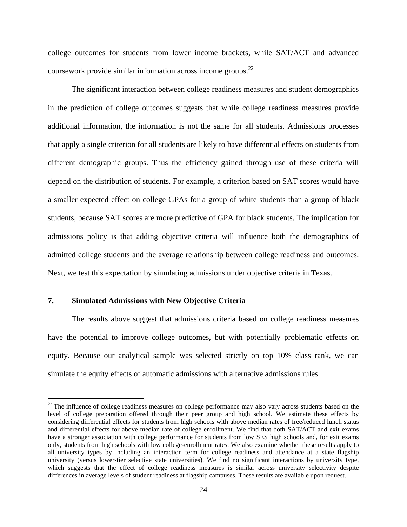college outcomes for students from lower income brackets, while SAT/ACT and advanced coursework provide similar information across income groups.<sup>22</sup>

The significant interaction between college readiness measures and student demographics in the prediction of college outcomes suggests that while college readiness measures provide additional information, the information is not the same for all students. Admissions processes that apply a single criterion for all students are likely to have differential effects on students from different demographic groups. Thus the efficiency gained through use of these criteria will depend on the distribution of students. For example, a criterion based on SAT scores would have a smaller expected effect on college GPAs for a group of white students than a group of black students, because SAT scores are more predictive of GPA for black students. The implication for admissions policy is that adding objective criteria will influence both the demographics of admitted college students and the average relationship between college readiness and outcomes. Next, we test this expectation by simulating admissions under objective criteria in Texas.

#### **7. Simulated Admissions with New Objective Criteria**

 $\overline{a}$ 

The results above suggest that admissions criteria based on college readiness measures have the potential to improve college outcomes, but with potentially problematic effects on equity. Because our analytical sample was selected strictly on top 10% class rank, we can simulate the equity effects of automatic admissions with alternative admissions rules.

<sup>&</sup>lt;sup>22</sup> The influence of college readiness measures on college performance may also vary across students based on the level of college preparation offered through their peer group and high school. We estimate these effects by considering differential effects for students from high schools with above median rates of free/reduced lunch status and differential effects for above median rate of college enrollment. We find that both SAT/ACT and exit exams have a stronger association with college performance for students from low SES high schools and, for exit exams only, students from high schools with low college-enrollment rates. We also examine whether these results apply to all university types by including an interaction term for college readiness and attendance at a state flagship university (versus lower-tier selective state universities). We find no significant interactions by university type, which suggests that the effect of college readiness measures is similar across university selectivity despite differences in average levels of student readiness at flagship campuses. These results are available upon request.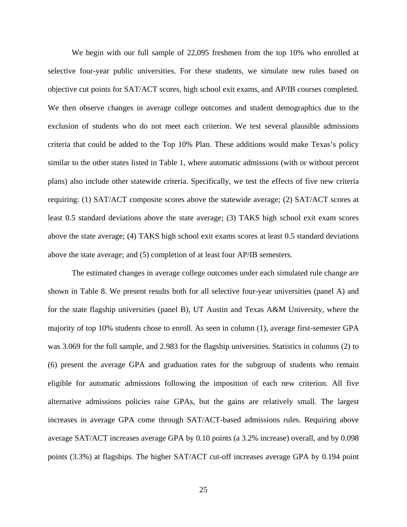We begin with our full sample of 22,095 freshmen from the top 10% who enrolled at selective four-year public universities. For these students, we simulate new rules based on objective cut points for SAT/ACT scores, high school exit exams, and AP/IB courses completed. We then observe changes in average college outcomes and student demographics due to the exclusion of students who do not meet each criterion. We test several plausible admissions criteria that could be added to the Top 10% Plan. These additions would make Texas's policy similar to the other states listed in Table 1, where automatic admissions (with or without percent plans) also include other statewide criteria. Specifically, we test the effects of five new criteria requiring: (1) SAT/ACT composite scores above the statewide average; (2) SAT/ACT scores at least 0.5 standard deviations above the state average; (3) TAKS high school exit exam scores above the state average; (4) TAKS high school exit exams scores at least 0.5 standard deviations above the state average; and (5) completion of at least four AP/IB semesters.

 The estimated changes in average college outcomes under each simulated rule change are shown in Table 8. We present results both for all selective four-year universities (panel A) and for the state flagship universities (panel B), UT Austin and Texas A&M University, where the majority of top 10% students chose to enroll. As seen in column (1), average first-semester GPA was 3.069 for the full sample, and 2.983 for the flagship universities. Statistics in columns (2) to (6) present the average GPA and graduation rates for the subgroup of students who remain eligible for automatic admissions following the imposition of each new criterion. All five alternative admissions policies raise GPAs, but the gains are relatively small. The largest increases in average GPA come through SAT/ACT-based admissions rules. Requiring above average SAT/ACT increases average GPA by 0.10 points (a 3.2% increase) overall, and by 0.098 points (3.3%) at flagships. The higher SAT/ACT cut-off increases average GPA by 0.194 point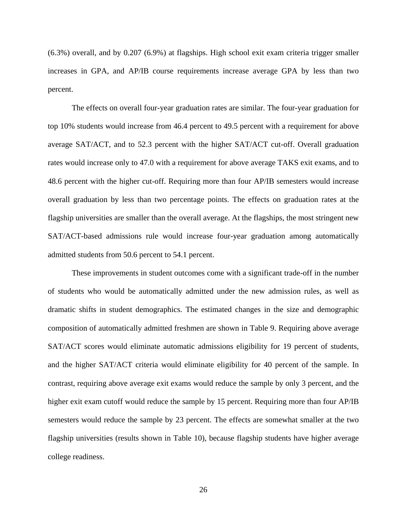(6.3%) overall, and by 0.207 (6.9%) at flagships. High school exit exam criteria trigger smaller increases in GPA, and AP/IB course requirements increase average GPA by less than two percent.

 The effects on overall four-year graduation rates are similar. The four-year graduation for top 10% students would increase from 46.4 percent to 49.5 percent with a requirement for above average SAT/ACT, and to 52.3 percent with the higher SAT/ACT cut-off. Overall graduation rates would increase only to 47.0 with a requirement for above average TAKS exit exams, and to 48.6 percent with the higher cut-off. Requiring more than four AP/IB semesters would increase overall graduation by less than two percentage points. The effects on graduation rates at the flagship universities are smaller than the overall average. At the flagships, the most stringent new SAT/ACT-based admissions rule would increase four-year graduation among automatically admitted students from 50.6 percent to 54.1 percent.

These improvements in student outcomes come with a significant trade-off in the number of students who would be automatically admitted under the new admission rules, as well as dramatic shifts in student demographics. The estimated changes in the size and demographic composition of automatically admitted freshmen are shown in Table 9. Requiring above average SAT/ACT scores would eliminate automatic admissions eligibility for 19 percent of students, and the higher SAT/ACT criteria would eliminate eligibility for 40 percent of the sample. In contrast, requiring above average exit exams would reduce the sample by only 3 percent, and the higher exit exam cutoff would reduce the sample by 15 percent. Requiring more than four AP/IB semesters would reduce the sample by 23 percent. The effects are somewhat smaller at the two flagship universities (results shown in Table 10), because flagship students have higher average college readiness.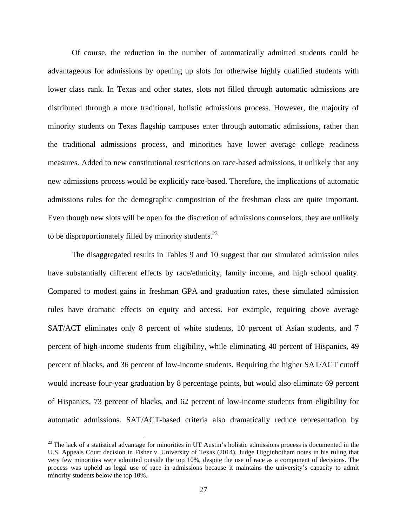Of course, the reduction in the number of automatically admitted students could be advantageous for admissions by opening up slots for otherwise highly qualified students with lower class rank. In Texas and other states, slots not filled through automatic admissions are distributed through a more traditional, holistic admissions process. However, the majority of minority students on Texas flagship campuses enter through automatic admissions, rather than the traditional admissions process, and minorities have lower average college readiness measures. Added to new constitutional restrictions on race-based admissions, it unlikely that any new admissions process would be explicitly race-based. Therefore, the implications of automatic admissions rules for the demographic composition of the freshman class are quite important. Even though new slots will be open for the discretion of admissions counselors, they are unlikely to be disproportionately filled by minority students.<sup>23</sup>

The disaggregated results in Tables 9 and 10 suggest that our simulated admission rules have substantially different effects by race/ethnicity, family income, and high school quality. Compared to modest gains in freshman GPA and graduation rates, these simulated admission rules have dramatic effects on equity and access. For example, requiring above average SAT/ACT eliminates only 8 percent of white students, 10 percent of Asian students, and 7 percent of high-income students from eligibility, while eliminating 40 percent of Hispanics, 49 percent of blacks, and 36 percent of low-income students. Requiring the higher SAT/ACT cutoff would increase four-year graduation by 8 percentage points, but would also eliminate 69 percent of Hispanics, 73 percent of blacks, and 62 percent of low-income students from eligibility for automatic admissions. SAT/ACT-based criteria also dramatically reduce representation by

<sup>&</sup>lt;sup>23</sup> The lack of a statistical advantage for minorities in UT Austin's holistic admissions process is documented in the U.S. Appeals Court decision in Fisher v. University of Texas (2014). Judge Higginbotham notes in his ruling that very few minorities were admitted outside the top 10%, despite the use of race as a component of decisions. The process was upheld as legal use of race in admissions because it maintains the university's capacity to admit minority students below the top 10%.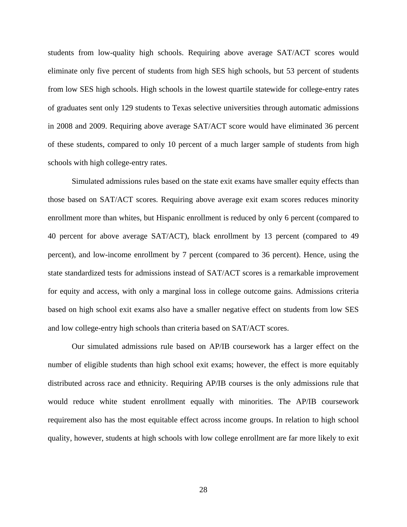students from low-quality high schools. Requiring above average SAT/ACT scores would eliminate only five percent of students from high SES high schools, but 53 percent of students from low SES high schools. High schools in the lowest quartile statewide for college-entry rates of graduates sent only 129 students to Texas selective universities through automatic admissions in 2008 and 2009. Requiring above average SAT/ACT score would have eliminated 36 percent of these students, compared to only 10 percent of a much larger sample of students from high schools with high college-entry rates.

Simulated admissions rules based on the state exit exams have smaller equity effects than those based on SAT/ACT scores. Requiring above average exit exam scores reduces minority enrollment more than whites, but Hispanic enrollment is reduced by only 6 percent (compared to 40 percent for above average SAT/ACT), black enrollment by 13 percent (compared to 49 percent), and low-income enrollment by 7 percent (compared to 36 percent). Hence, using the state standardized tests for admissions instead of SAT/ACT scores is a remarkable improvement for equity and access, with only a marginal loss in college outcome gains. Admissions criteria based on high school exit exams also have a smaller negative effect on students from low SES and low college-entry high schools than criteria based on SAT/ACT scores.

 Our simulated admissions rule based on AP/IB coursework has a larger effect on the number of eligible students than high school exit exams; however, the effect is more equitably distributed across race and ethnicity. Requiring AP/IB courses is the only admissions rule that would reduce white student enrollment equally with minorities. The AP/IB coursework requirement also has the most equitable effect across income groups. In relation to high school quality, however, students at high schools with low college enrollment are far more likely to exit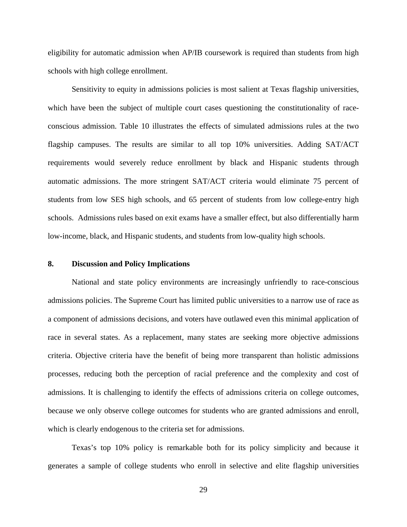eligibility for automatic admission when AP/IB coursework is required than students from high schools with high college enrollment.

 Sensitivity to equity in admissions policies is most salient at Texas flagship universities, which have been the subject of multiple court cases questioning the constitutionality of raceconscious admission. Table 10 illustrates the effects of simulated admissions rules at the two flagship campuses. The results are similar to all top 10% universities. Adding SAT/ACT requirements would severely reduce enrollment by black and Hispanic students through automatic admissions. The more stringent SAT/ACT criteria would eliminate 75 percent of students from low SES high schools, and 65 percent of students from low college-entry high schools. Admissions rules based on exit exams have a smaller effect, but also differentially harm low-income, black, and Hispanic students, and students from low-quality high schools.

#### **8. Discussion and Policy Implications**

National and state policy environments are increasingly unfriendly to race-conscious admissions policies. The Supreme Court has limited public universities to a narrow use of race as a component of admissions decisions, and voters have outlawed even this minimal application of race in several states. As a replacement, many states are seeking more objective admissions criteria. Objective criteria have the benefit of being more transparent than holistic admissions processes, reducing both the perception of racial preference and the complexity and cost of admissions. It is challenging to identify the effects of admissions criteria on college outcomes, because we only observe college outcomes for students who are granted admissions and enroll, which is clearly endogenous to the criteria set for admissions.

Texas's top 10% policy is remarkable both for its policy simplicity and because it generates a sample of college students who enroll in selective and elite flagship universities

29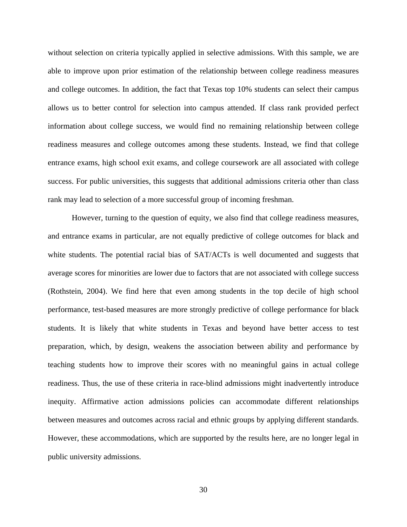without selection on criteria typically applied in selective admissions. With this sample, we are able to improve upon prior estimation of the relationship between college readiness measures and college outcomes. In addition, the fact that Texas top 10% students can select their campus allows us to better control for selection into campus attended. If class rank provided perfect information about college success, we would find no remaining relationship between college readiness measures and college outcomes among these students. Instead, we find that college entrance exams, high school exit exams, and college coursework are all associated with college success. For public universities, this suggests that additional admissions criteria other than class rank may lead to selection of a more successful group of incoming freshman.

However, turning to the question of equity, we also find that college readiness measures, and entrance exams in particular, are not equally predictive of college outcomes for black and white students. The potential racial bias of SAT/ACTs is well documented and suggests that average scores for minorities are lower due to factors that are not associated with college success (Rothstein, 2004). We find here that even among students in the top decile of high school performance, test-based measures are more strongly predictive of college performance for black students. It is likely that white students in Texas and beyond have better access to test preparation, which, by design, weakens the association between ability and performance by teaching students how to improve their scores with no meaningful gains in actual college readiness. Thus, the use of these criteria in race-blind admissions might inadvertently introduce inequity. Affirmative action admissions policies can accommodate different relationships between measures and outcomes across racial and ethnic groups by applying different standards. However, these accommodations, which are supported by the results here, are no longer legal in public university admissions.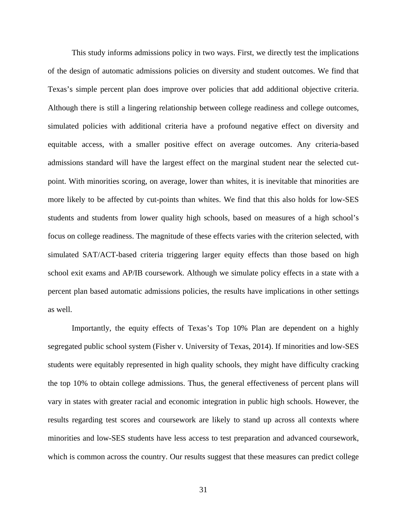This study informs admissions policy in two ways. First, we directly test the implications of the design of automatic admissions policies on diversity and student outcomes. We find that Texas's simple percent plan does improve over policies that add additional objective criteria. Although there is still a lingering relationship between college readiness and college outcomes, simulated policies with additional criteria have a profound negative effect on diversity and equitable access, with a smaller positive effect on average outcomes. Any criteria-based admissions standard will have the largest effect on the marginal student near the selected cutpoint. With minorities scoring, on average, lower than whites, it is inevitable that minorities are more likely to be affected by cut-points than whites. We find that this also holds for low-SES students and students from lower quality high schools, based on measures of a high school's focus on college readiness. The magnitude of these effects varies with the criterion selected, with simulated SAT/ACT-based criteria triggering larger equity effects than those based on high school exit exams and AP/IB coursework. Although we simulate policy effects in a state with a percent plan based automatic admissions policies, the results have implications in other settings as well.

Importantly, the equity effects of Texas's Top 10% Plan are dependent on a highly segregated public school system (Fisher v. University of Texas, 2014). If minorities and low-SES students were equitably represented in high quality schools, they might have difficulty cracking the top 10% to obtain college admissions. Thus, the general effectiveness of percent plans will vary in states with greater racial and economic integration in public high schools. However, the results regarding test scores and coursework are likely to stand up across all contexts where minorities and low-SES students have less access to test preparation and advanced coursework, which is common across the country. Our results suggest that these measures can predict college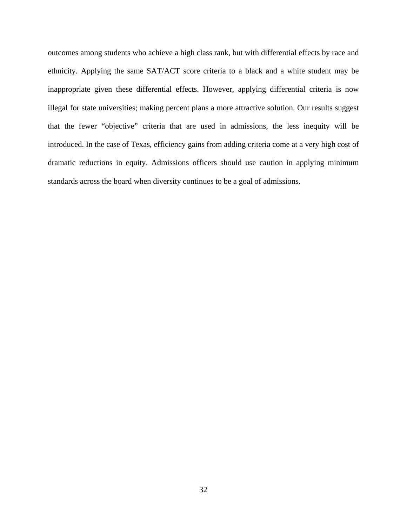outcomes among students who achieve a high class rank, but with differential effects by race and ethnicity. Applying the same SAT/ACT score criteria to a black and a white student may be inappropriate given these differential effects. However, applying differential criteria is now illegal for state universities; making percent plans a more attractive solution. Our results suggest that the fewer "objective" criteria that are used in admissions, the less inequity will be introduced. In the case of Texas, efficiency gains from adding criteria come at a very high cost of dramatic reductions in equity. Admissions officers should use caution in applying minimum standards across the board when diversity continues to be a goal of admissions.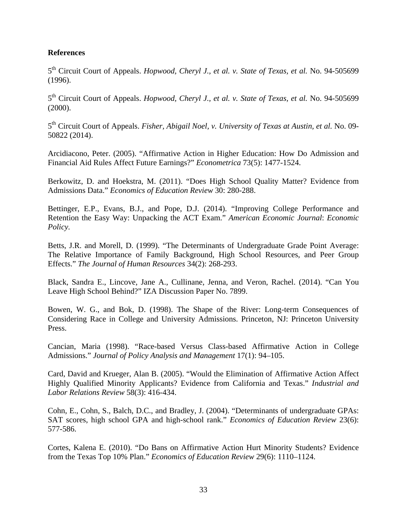#### **References**

5<sup>th</sup> Circuit Court of Appeals. *Hopwood, Cheryl J., et al. v. State of Texas, et al. No.* 94-505699 (1996).

5<sup>th</sup> Circuit Court of Appeals. *Hopwood, Cheryl J., et al. v. State of Texas, et al. No.* 94-505699 (2000).

5th Circuit Court of Appeals. *Fisher, Abigail Noel, v. University of Texas at Austin, et al.* No. 09- 50822 (2014).

Arcidiacono, Peter. (2005). "Affirmative Action in Higher Education: How Do Admission and Financial Aid Rules Affect Future Earnings?" *Econometrica* 73(5): 1477-1524.

Berkowitz, D. and Hoekstra, M. (2011). "Does High School Quality Matter? Evidence from Admissions Data." *Economics of Education Review* 30: 280-288.

Bettinger, E.P., Evans, B.J., and Pope, D.J. (2014). "Improving College Performance and Retention the Easy Way: Unpacking the ACT Exam." *American Economic Journal*: *Economic Policy.* 

Betts, J.R. and Morell, D. (1999). "The Determinants of Undergraduate Grade Point Average: The Relative Importance of Family Background, High School Resources, and Peer Group Effects." *The Journal of Human Resources* 34(2): 268-293.

Black, Sandra E., Lincove, Jane A., Cullinane, Jenna, and Veron, Rachel. (2014). "Can You Leave High School Behind?" IZA Discussion Paper No. 7899.

Bowen, W. G., and Bok, D. (1998). The Shape of the River: Long-term Consequences of Considering Race in College and University Admissions. Princeton, NJ: Princeton University Press.

Cancian, Maria (1998). "Race-based Versus Class-based Affirmative Action in College Admissions." *Journal of Policy Analysis and Management* 17(1): 94–105.

Card, David and Krueger, Alan B. (2005). "Would the Elimination of Affirmative Action Affect Highly Qualified Minority Applicants? Evidence from California and Texas." *Industrial and Labor Relations Review* 58(3): 416-434.

Cohn, E., Cohn, S., Balch, D.C., and Bradley, J. (2004). "Determinants of undergraduate GPAs: SAT scores, high school GPA and high-school rank." *Economics of Education Review* 23(6): 577-586.

Cortes, Kalena E. (2010). "Do Bans on Affirmative Action Hurt Minority Students? Evidence from the Texas Top 10% Plan." *Economics of Education Review* 29(6): 1110–1124.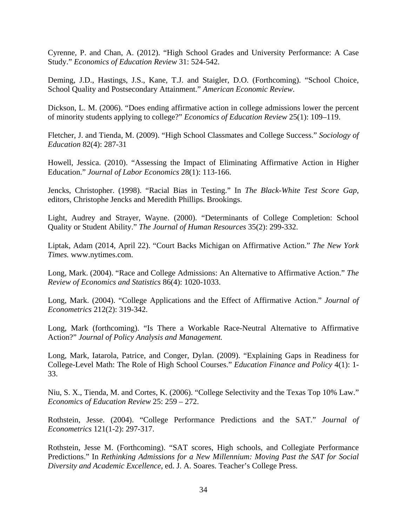Cyrenne, P. and Chan, A. (2012). "High School Grades and University Performance: A Case Study." *Economics of Education Review* 31: 524-542.

Deming, J.D., Hastings, J.S., Kane, T.J. and Staigler, D.O. (Forthcoming). "School Choice, School Quality and Postsecondary Attainment." *American Economic Review*.

Dickson, L. M. (2006). "Does ending affirmative action in college admissions lower the percent of minority students applying to college?" *Economics of Education Review* 25(1): 109–119.

Fletcher, J. and Tienda, M. (2009). "High School Classmates and College Success." *Sociology of Education* 82(4): 287-31

Howell, Jessica. (2010). "Assessing the Impact of Eliminating Affirmative Action in Higher Education." *Journal of Labor Economics* 28(1): 113-166.

Jencks, Christopher. (1998). "Racial Bias in Testing." In *The Black-White Test Score Gap*, editors, Christophe Jencks and Meredith Phillips. Brookings.

Light, Audrey and Strayer, Wayne. (2000). "Determinants of College Completion: School Quality or Student Ability." *The Journal of Human Resources* 35(2): 299-332.

Liptak, Adam (2014, April 22). "Court Backs Michigan on Affirmative Action." *The New York Times.* www.nytimes.com.

Long, Mark. (2004). "Race and College Admissions: An Alternative to Affirmative Action." *The Review of Economics and Statistics* 86(4): 1020-1033.

Long, Mark. (2004). "College Applications and the Effect of Affirmative Action." *Journal of Econometrics* 212(2): 319-342.

Long, Mark (forthcoming). "Is There a Workable Race-Neutral Alternative to Affirmative Action?" *Journal of Policy Analysis and Management.* 

Long, Mark, Iatarola, Patrice, and Conger, Dylan. (2009). "Explaining Gaps in Readiness for College-Level Math: The Role of High School Courses." *Education Finance and Policy* 4(1): 1- 33.

Niu, S. X., Tienda, M. and Cortes, K. (2006). "College Selectivity and the Texas Top 10% Law." *Economics of Education Review* 25: 259 – 272.

Rothstein, Jesse. (2004). "College Performance Predictions and the SAT." *Journal of Econometrics* 121(1-2): 297-317.

Rothstein, Jesse M. (Forthcoming). "SAT scores, High schools, and Collegiate Performance Predictions." In *Rethinking Admissions for a New Millennium: Moving Past the SAT for Social Diversity and Academic Excellence*, ed. J. A. Soares. Teacher's College Press.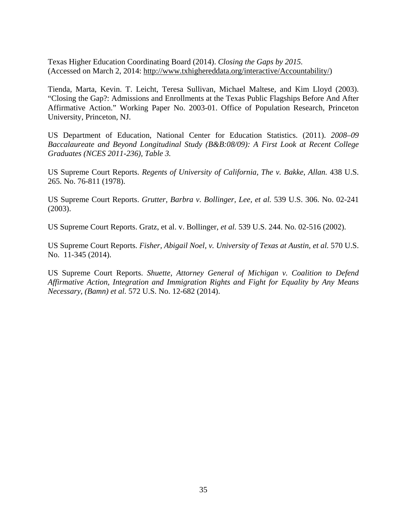Texas Higher Education Coordinating Board (2014). *Closing the Gaps by 2015.*  (Accessed on March 2, 2014: http://www.txhighereddata.org/interactive/Accountability/)

Tienda, Marta, Kevin. T. Leicht, Teresa Sullivan, Michael Maltese, and Kim Lloyd (2003). "Closing the Gap?: Admissions and Enrollments at the Texas Public Flagships Before And After Affirmative Action." Working Paper No. 2003-01. Office of Population Research, Princeton University, Princeton, NJ.

US Department of Education, National Center for Education Statistics. (2011). *2008–09 Baccalaureate and Beyond Longitudinal Study (B&B:08/09): A First Look at Recent College Graduates (NCES 2011-236), Table 3.*

US Supreme Court Reports. *Regents of University of California, The v. Bakke, Allan.* 438 U.S. 265. No. 76-811 (1978).

US Supreme Court Reports. *Grutter, Barbra v. Bollinger, Lee, et al.* 539 U.S. 306. No. 02-241 (2003).

US Supreme Court Reports. Gratz, et al. v. Bollinger, *et al.* 539 U.S. 244. No. 02-516 (2002).

US Supreme Court Reports. *Fisher, Abigail Noel, v. University of Texas at Austin, et al.* 570 U.S. No. 11-345 (2014).

US Supreme Court Reports. *Shuette, Attorney General of Michigan v. Coalition to Defend Affirmative Action, Integration and Immigration Rights and Fight for Equality by Any Means Necessary, (Bamn) et al.* 572 U.S. No. 12-682 (2014).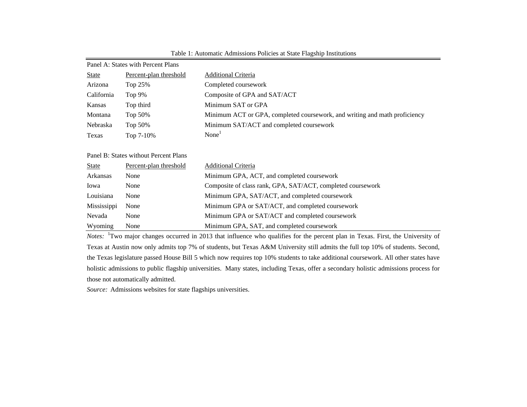|              | Panel A: States with Percent Plans |                                                                            |
|--------------|------------------------------------|----------------------------------------------------------------------------|
| <b>State</b> | Percent-plan threshold             | <b>Additional Criteria</b>                                                 |
| Arizona      | Top 25%                            | Completed coursework                                                       |
| California   | Top $9\%$                          | Composite of GPA and SAT/ACT                                               |
| Kansas       | Top third                          | Minimum SAT or GPA                                                         |
| Montana      | Top 50%                            | Minimum ACT or GPA, completed coursework, and writing and math proficiency |
| Nebraska     | Top $50\%$                         | Minimum SAT/ACT and completed coursework                                   |
| Texas        | Top 7-10%                          | None <sup>1</sup>                                                          |

Table 1: Automatic Admissions Policies at State Flagship Institutions

#### Panel B: States without Percent Plans

| <b>State</b> | Percent-plan threshold | <b>Additional Criteria</b>                                  |
|--------------|------------------------|-------------------------------------------------------------|
| Arkansas     | None                   | Minimum GPA, ACT, and completed coursework                  |
| Iowa         | None                   | Composite of class rank, GPA, SAT/ACT, completed coursework |
| Louisiana    | None                   | Minimum GPA, SAT/ACT, and completed coursework              |
| Mississippi  | None                   | Minimum GPA or SAT/ACT, and completed coursework            |
| Nevada       | None                   | Minimum GPA or SAT/ACT and completed coursework             |
| Wyoming      | None                   | Minimum GPA, SAT, and completed coursework                  |

*Notes:* <sup>1</sup>Two major changes occurred in 2013 that influence who qualifies for the percent plan in Texas. First, the University of Texas at Austin now only admits top 7% of students, but Texas A&M University still admits the full top 10% of students. Second, the Texas legislature passed House Bill 5 which now requires top 10% students to take additional coursework. All other states have holistic admissions to public flagship universities. Many states, including Texas, offer <sup>a</sup> secondary holistic admissions process for those not automatically admitted.

*Source:* Admissions websites for state flagships universities.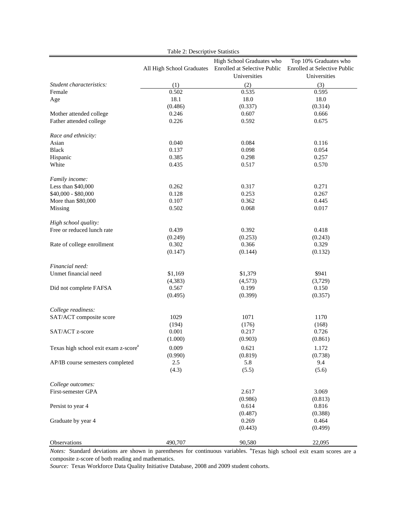| Table 2: Descriptive Statistics                  |                           |                                     |                                     |  |  |  |  |  |  |
|--------------------------------------------------|---------------------------|-------------------------------------|-------------------------------------|--|--|--|--|--|--|
|                                                  |                           | High School Graduates who           | Top 10% Graduates who               |  |  |  |  |  |  |
|                                                  | All High School Graduates | <b>Enrolled at Selective Public</b> | <b>Enrolled at Selective Public</b> |  |  |  |  |  |  |
|                                                  |                           | Universities                        | Universities                        |  |  |  |  |  |  |
| Student characteristics:                         | (1)                       | (2)                                 | (3)                                 |  |  |  |  |  |  |
| Female                                           | 0.502                     | 0.535                               | 0.595                               |  |  |  |  |  |  |
| Age                                              | 18.1                      | 18.0                                | 18.0                                |  |  |  |  |  |  |
|                                                  | (0.486)                   | (0.337)                             | (0.314)                             |  |  |  |  |  |  |
| Mother attended college                          | 0.246                     | 0.607                               | 0.666                               |  |  |  |  |  |  |
| Father attended college                          | 0.226                     | 0.592                               | 0.675                               |  |  |  |  |  |  |
|                                                  |                           |                                     |                                     |  |  |  |  |  |  |
| Race and ethnicity:                              |                           |                                     |                                     |  |  |  |  |  |  |
| Asian                                            | 0.040                     | 0.084                               | 0.116                               |  |  |  |  |  |  |
| <b>Black</b>                                     | 0.137                     | 0.098                               | 0.054                               |  |  |  |  |  |  |
| Hispanic                                         | 0.385                     | 0.298                               | 0.257                               |  |  |  |  |  |  |
| White                                            | 0.435                     | 0.517                               | 0.570                               |  |  |  |  |  |  |
|                                                  |                           |                                     |                                     |  |  |  |  |  |  |
| Family income:                                   |                           |                                     |                                     |  |  |  |  |  |  |
| Less than \$40,000                               | 0.262                     | 0.317                               | 0.271                               |  |  |  |  |  |  |
| \$40,000 - \$80,000                              | 0.128                     | 0.253                               | 0.267                               |  |  |  |  |  |  |
| More than \$80,000                               | 0.107                     | 0.362                               | 0.445                               |  |  |  |  |  |  |
| Missing                                          | 0.502                     | 0.068                               | 0.017                               |  |  |  |  |  |  |
|                                                  |                           |                                     |                                     |  |  |  |  |  |  |
| High school quality:                             |                           |                                     |                                     |  |  |  |  |  |  |
| Free or reduced lunch rate                       | 0.439                     | 0.392                               | 0.418                               |  |  |  |  |  |  |
|                                                  | (0.249)                   | (0.253)                             | (0.243)                             |  |  |  |  |  |  |
| Rate of college enrollment                       | 0.302                     | 0.366                               | 0.329                               |  |  |  |  |  |  |
|                                                  | (0.147)                   | (0.144)                             | (0.132)                             |  |  |  |  |  |  |
|                                                  |                           |                                     |                                     |  |  |  |  |  |  |
| Financial need:                                  |                           |                                     |                                     |  |  |  |  |  |  |
| Unmet financial need                             | \$1,169                   | \$1,379                             | \$941                               |  |  |  |  |  |  |
|                                                  | (4, 383)                  | (4,573)                             | (3,729)                             |  |  |  |  |  |  |
| Did not complete FAFSA                           | 0.567                     | 0.199                               | 0.150                               |  |  |  |  |  |  |
|                                                  | (0.495)                   | (0.399)                             | (0.357)                             |  |  |  |  |  |  |
| College readiness:                               |                           |                                     |                                     |  |  |  |  |  |  |
| SAT/ACT composite score                          | 1029                      | 1071                                | 1170                                |  |  |  |  |  |  |
|                                                  | (194)                     | (176)                               | (168)                               |  |  |  |  |  |  |
| SAT/ACT z-score                                  | 0.001                     | 0.217                               | 0.726                               |  |  |  |  |  |  |
|                                                  | (1.000)                   | (0.903)                             | (0.861)                             |  |  |  |  |  |  |
|                                                  | 0.009                     | 0.621                               |                                     |  |  |  |  |  |  |
| Texas high school exit exam z-score <sup>a</sup> |                           | (0.819)                             | 1.172                               |  |  |  |  |  |  |
| AP/IB course semesters completed                 | (0.990)<br>2.5            | 5.8                                 | (0.738)<br>9.4                      |  |  |  |  |  |  |
|                                                  | (4.3)                     | (5.5)                               | (5.6)                               |  |  |  |  |  |  |
|                                                  |                           |                                     |                                     |  |  |  |  |  |  |
| College outcomes:                                |                           |                                     |                                     |  |  |  |  |  |  |
| First-semester GPA                               |                           | 2.617                               | 3.069                               |  |  |  |  |  |  |
|                                                  |                           | (0.986)                             | (0.813)                             |  |  |  |  |  |  |
| Persist to year 4                                |                           | 0.614                               | 0.816                               |  |  |  |  |  |  |
|                                                  |                           | (0.487)                             | (0.388)                             |  |  |  |  |  |  |
| Graduate by year 4                               |                           | 0.269                               | 0.464                               |  |  |  |  |  |  |
|                                                  |                           | (0.443)                             | (0.499)                             |  |  |  |  |  |  |
|                                                  |                           |                                     |                                     |  |  |  |  |  |  |
| Observations                                     | 490,707                   | 90,580                              | 22,095                              |  |  |  |  |  |  |

Notes: Standard deviations are shown in parentheses for continuous variables. <sup>a</sup>Texas high school exit exam scores are a composite z-score of both reading and mathematics.

*Source:* Texas Workforce Data Quality Initiative Database, 2008 and 2009 student cohorts.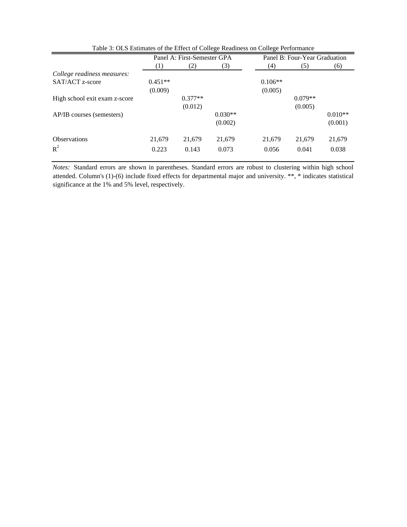|                               |           | Panel A: First-Semester GPA |           |           | Panel B: Four-Year Graduation |           |
|-------------------------------|-----------|-----------------------------|-----------|-----------|-------------------------------|-----------|
|                               | (1)       | (2)                         | (3)       | (4)       | (5)                           | (6)       |
| College readiness measures:   |           |                             |           |           |                               |           |
| SAT/ACT z-score               | $0.451**$ |                             |           | $0.106**$ |                               |           |
|                               | (0.009)   |                             |           | (0.005)   |                               |           |
| High school exit exam z-score |           | $0.377**$                   |           |           | $0.079**$                     |           |
|                               |           | (0.012)                     |           |           | (0.005)                       |           |
| AP/IB courses (semesters)     |           |                             | $0.030**$ |           |                               | $0.010**$ |
|                               |           |                             | (0.002)   |           |                               | (0.001)   |
| <b>Observations</b>           | 21,679    | 21,679                      | 21,679    | 21,679    | 21,679                        | 21,679    |
| $R^2$                         | 0.223     | 0.143                       | 0.073     | 0.056     | 0.041                         | 0.038     |

Table 3: OLS Estimates of the Effect of College Readiness on College Performance

*Notes:* Standard errors are shown in parentheses. Standard errors are robust to clustering within high school attended. Column's (1)-(6) include fixed effects for departmental major and university. \*\*, \* indicates statistical significance at the 1% and 5% level, respectively.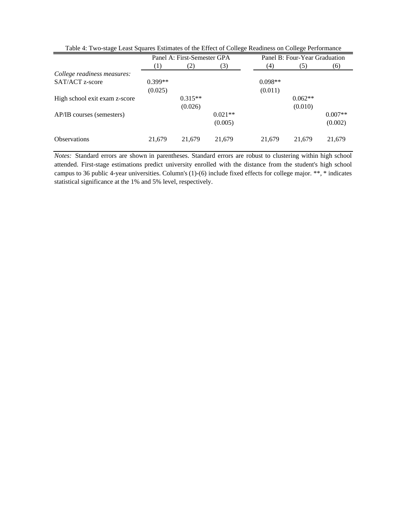|                               |           | Panel A: First-Semester GPA |           |           | Panel B: Four-Year Graduation |           |
|-------------------------------|-----------|-----------------------------|-----------|-----------|-------------------------------|-----------|
|                               | (1)       | (2)                         | (3)       | (4)       | (5)                           | (6)       |
| College readiness measures:   |           |                             |           |           |                               |           |
| SAT/ACT z-score               | $0.399**$ |                             |           | $0.098**$ |                               |           |
|                               | (0.025)   |                             |           | (0.011)   |                               |           |
| High school exit exam z-score |           | $0.315**$                   |           |           | $0.062**$                     |           |
|                               |           | (0.026)                     |           |           | (0.010)                       |           |
| AP/IB courses (semesters)     |           |                             | $0.021**$ |           |                               | $0.007**$ |
|                               |           |                             | (0.005)   |           |                               | (0.002)   |
| <b>Observations</b>           | 21,679    | 21,679                      | 21,679    | 21,679    | 21,679                        | 21,679    |

Table 4: Two-stage Least Squares Estimates of the Effect of College Readiness on College Performance

*Notes:* Standard errors are shown in parentheses. Standard errors are robust to clustering within high school attended. First-stage estimations predict university enrolled with the distance from the student's high school campus to 36 public 4-year universities. Column's (1)-(6) include fixed effects for college major. \*\*, \* indicates statistical significance at the 1% and 5% level, respectively.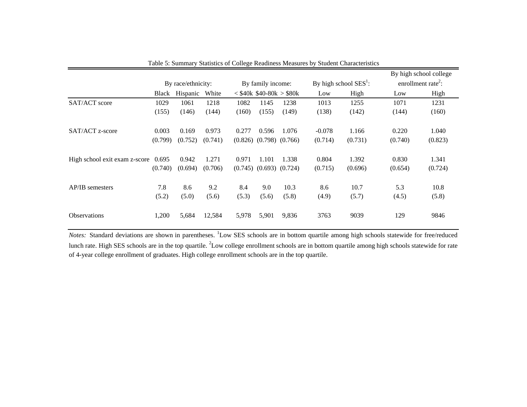|                               |         |                    |         |       |                               |                               |          |                          |         | By high school college         |
|-------------------------------|---------|--------------------|---------|-------|-------------------------------|-------------------------------|----------|--------------------------|---------|--------------------------------|
|                               |         | By race/ethnicity: |         |       | By family income:             |                               |          | By high school $SES^1$ : |         | enrollment rate <sup>2</sup> : |
|                               | Black   | Hispanic           | White   |       | $<$ \$40k \$40-80k $>$ \$80k  |                               | Low      | High                     | Low     | High                           |
| SAT/ACT score                 | 1029    | 1061               | 1218    | 1082  | 1145                          | 1238                          | 1013     | 1255                     | 1071    | 1231                           |
|                               | (155)   | (146)              | (144)   | (160) | (155)                         | (149)                         | (138)    | (142)                    | (144)   | (160)                          |
| SAT/ACT z-score               | 0.003   | 0.169              | 0.973   | 0.277 | 0.596                         | 1.076                         | $-0.078$ | 1.166                    | 0.220   | 1.040                          |
|                               | (0.799) | (0.752)            | (0.741) |       |                               | $(0.826)$ $(0.798)$ $(0.766)$ | (0.714)  | (0.731)                  | (0.740) | (0.823)                        |
| High school exit exam z-score | 0.695   | 0.942              | 1.271   | 0.971 | 1.101                         | 1.338                         | 0.804    | 1.392                    | 0.830   | 1.341                          |
|                               | (0.740) | (0.694)            | (0.706) |       | $(0.745)$ $(0.693)$ $(0.724)$ |                               | (0.715)  | (0.696)                  | (0.654) | (0.724)                        |
| <b>AP/IB</b> semesters        | 7.8     | 8.6                | 9.2     | 8.4   | 9.0                           | 10.3                          | 8.6      | 10.7                     | 5.3     | 10.8                           |
|                               | (5.2)   | (5.0)              | (5.6)   | (5.3) | (5.6)                         | (5.8)                         | (4.9)    | (5.7)                    | (4.5)   | (5.8)                          |
| <b>Observations</b>           | 1,200   | 5,684              | 12,584  | 5,978 | 5,901                         | 9,836                         | 3763     | 9039                     | 129     | 9846                           |

Table 5: Summary Statistics of College Readiness Measures by Student Characteristics

*Notes:* Standard deviations are shown in parentheses. <sup>1</sup>Low SES schools are in bottom quartile among high schools statewide for free/reduced lunch rate. High SES schools are in the top quartile. <sup>2</sup>Low college enrollment schools are in bottom quartile among high schools statewide for rate of 4-year college enrollment of graduates. High college enrollment schools are in the top quartile.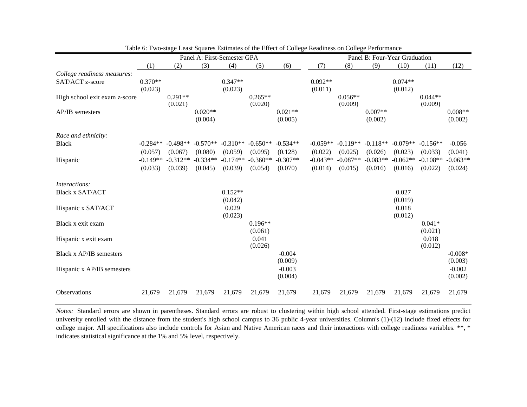|                                                |                       | Panel A: First-Semester GPA      |                       |                                  |                                  |                       |                       |                       | Panel B: Four-Year Graduation               |                       |                       |                       |
|------------------------------------------------|-----------------------|----------------------------------|-----------------------|----------------------------------|----------------------------------|-----------------------|-----------------------|-----------------------|---------------------------------------------|-----------------------|-----------------------|-----------------------|
|                                                | (1)                   | (2)                              | (3)                   | (4)                              | (5)                              | (6)                   | (7)                   | (8)                   | (9)                                         | (10)                  | (11)                  | (12)                  |
| College readiness measures:<br>SAT/ACT z-score | $0.370**$<br>(0.023)  |                                  |                       | $0.347**$<br>(0.023)             |                                  |                       | $0.092**$<br>(0.011)  |                       |                                             | $0.074**$<br>(0.012)  |                       |                       |
| High school exit exam z-score                  |                       | $0.291**$<br>(0.021)             |                       |                                  | $0.265**$<br>(0.020)             |                       |                       | $0.056**$<br>(0.009)  |                                             |                       | $0.044**$<br>(0.009)  |                       |
| AP/IB semesters                                |                       |                                  | $0.020**$<br>(0.004)  |                                  |                                  | $0.021**$<br>(0.005)  |                       |                       | $0.007**$<br>(0.002)                        |                       |                       | $0.008**$<br>(0.002)  |
| Race and ethnicity:                            |                       |                                  |                       |                                  |                                  |                       |                       |                       |                                             |                       |                       |                       |
| <b>Black</b>                                   | (0.057)               | $-0.284**$ $-0.498**$<br>(0.067) | (0.080)               | $-0.570**$ $-0.310**$<br>(0.059) | $-0.650**$ $-0.534**$<br>(0.095) | (0.128)               | $-0.059**$<br>(0.022) | (0.025)               | $-0.119**$ $-0.118**$ $-0.079**$<br>(0.026) | (0.023)               | $-0.156**$<br>(0.033) | $-0.056$<br>(0.041)   |
| Hispanic                                       | $-0.149**$<br>(0.033) | $-0.312**$<br>(0.039)            | $-0.334**$<br>(0.045) | $-0.174**$<br>(0.039)            | $-0.360**$<br>(0.054)            | $-0.307**$<br>(0.070) | $-0.043**$<br>(0.014) | $-0.087**$<br>(0.015) | $-0.083**$<br>(0.016)                       | $-0.062**$<br>(0.016) | $-0.108**$<br>(0.022) | $-0.063**$<br>(0.024) |
| Interactions:                                  |                       |                                  |                       |                                  |                                  |                       |                       |                       |                                             |                       |                       |                       |
| <b>Black x SAT/ACT</b>                         |                       |                                  |                       | $0.152**$<br>(0.042)             |                                  |                       |                       |                       |                                             | 0.027<br>(0.019)      |                       |                       |
| Hispanic x SAT/ACT                             |                       |                                  |                       | 0.029<br>(0.023)                 |                                  |                       |                       |                       |                                             | 0.018<br>(0.012)      |                       |                       |
| Black x exit exam                              |                       |                                  |                       |                                  | $0.196**$<br>(0.061)             |                       |                       |                       |                                             |                       | $0.041*$<br>(0.021)   |                       |
| Hispanic x exit exam                           |                       |                                  |                       |                                  | 0.041<br>(0.026)                 |                       |                       |                       |                                             |                       | 0.018<br>(0.012)      |                       |
| Black x AP/IB semesters                        |                       |                                  |                       |                                  |                                  | $-0.004$<br>(0.009)   |                       |                       |                                             |                       |                       | $-0.008*$<br>(0.003)  |
| Hispanic x AP/IB semesters                     |                       |                                  |                       |                                  |                                  | $-0.003$<br>(0.004)   |                       |                       |                                             |                       |                       | $-0.002$<br>(0.002)   |
| Observations                                   | 21,679                | 21,679                           | 21,679                | 21,679                           | 21,679                           | 21,679                | 21,679                | 21,679                | 21,679                                      | 21,679                | 21,679                | 21,679                |

|  | Table 6: Two-stage Least Squares Estimates of the Effect of College Readiness on College Performance |
|--|------------------------------------------------------------------------------------------------------|
|  |                                                                                                      |

*Notes:* Standard errors are shown in parentheses. Standard errors are robust to clustering within high school attended. First-stage estimations predict university enrolled with the distance from the student's high school campus to 36 public 4-year universities. Column's (1)-(12) include fixed effects for college major. All specifications also include controls for Asian and Native American races and their interactions with college readiness variables. \*\*, \* indicates statistical significance at the 1% and 5% level, respectively.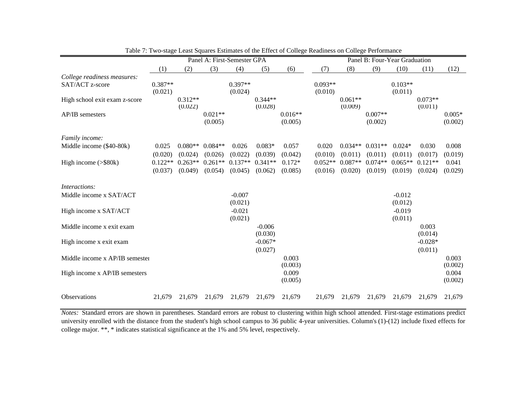|                                                |                      |                      | Panel A: First-Semester GPA |                      |                      |                      |                      |                      |                              | Panel B: Four-Year Graduation |                      |                     |
|------------------------------------------------|----------------------|----------------------|-----------------------------|----------------------|----------------------|----------------------|----------------------|----------------------|------------------------------|-------------------------------|----------------------|---------------------|
|                                                | (1)                  | (2)                  | (3)                         | (4)                  | (5)                  | (6)                  | (7)                  | (8)                  | (9)                          | (10)                          | (11)                 | (12)                |
| College readiness measures:<br>SAT/ACT z-score | $0.387**$<br>(0.021) |                      |                             | $0.397**$<br>(0.024) |                      |                      | $0.093**$<br>(0.010) |                      |                              | $0.103**$<br>(0.011)          |                      |                     |
| High school exit exam z-score                  |                      | $0.312**$<br>(0.022) |                             |                      | $0.344**$<br>(0.028) |                      |                      | $0.061**$<br>(0.009) |                              |                               | $0.073**$<br>(0.011) |                     |
| <b>AP/IB</b> semesters                         |                      |                      | $0.021**$<br>(0.005)        |                      |                      | $0.016**$<br>(0.005) |                      |                      | $0.007**$<br>(0.002)         |                               |                      | $0.005*$<br>(0.002) |
| Family income:                                 |                      |                      |                             |                      |                      |                      |                      |                      |                              |                               |                      |                     |
| Middle income (\$40-80k)                       | 0.025<br>(0.020)     | $0.080**$<br>(0.024) | $0.084**$<br>(0.026)        | 0.026<br>(0.022)     | $0.083*$<br>(0.039)  | 0.057<br>(0.042)     | 0.020<br>(0.010)     | (0.011)              | $0.034**$ 0.031**<br>(0.011) | $0.024*$<br>(0.011)           | 0.030<br>(0.017)     | 0.008<br>(0.019)    |
| High income $(>\$80k)$                         | $0.122**$<br>(0.037) | $0.263**$<br>(0.049) | $0.261**$<br>(0.054)        | $0.137**$<br>(0.045) | $0.341**$<br>(0.062) | $0.172*$<br>(0.085)  | $0.052**$<br>(0.016) | $0.087**$<br>(0.020) | $0.074**$<br>(0.019)         | $0.065**$<br>(0.019)          | $0.121**$<br>(0.024) | 0.041<br>(0.029)    |
| Interactions:                                  |                      |                      |                             |                      |                      |                      |                      |                      |                              |                               |                      |                     |
| Middle income x SAT/ACT                        |                      |                      |                             | $-0.007$<br>(0.021)  |                      |                      |                      |                      |                              | $-0.012$<br>(0.012)           |                      |                     |
| High income x SAT/ACT                          |                      |                      |                             | $-0.021$<br>(0.021)  |                      |                      |                      |                      |                              | $-0.019$<br>(0.011)           |                      |                     |
| Middle income x exit exam                      |                      |                      |                             |                      | $-0.006$<br>(0.030)  |                      |                      |                      |                              |                               | 0.003<br>(0.014)     |                     |
| High income x exit exam                        |                      |                      |                             |                      | $-0.067*$<br>(0.027) |                      |                      |                      |                              |                               | $-0.028*$<br>(0.011) |                     |
| Middle income x AP/IB semester                 |                      |                      |                             |                      |                      | 0.003<br>(0.003)     |                      |                      |                              |                               |                      | 0.003<br>(0.002)    |
| High income x AP/IB semesters                  |                      |                      |                             |                      |                      | 0.009<br>(0.005)     |                      |                      |                              |                               |                      | 0.004<br>(0.002)    |
| Observations                                   | 21,679               | 21,679               | 21,679                      | 21,679               | 21,679               | 21,679               | 21,679               | 21,679               | 21,679                       | 21,679                        | 21,679               | 21,679              |

Table 7: Two-stage Least Squares Estimates of the Effect of College Readiness on College Performance

Notes: Standard errors are shown in parentheses. Standard errors are robust to clustering within high school attended. First-stage estimations predict university enrolled with the distance from the student's high school campus to 36 public 4-year universities. Column's (1)-(12) include fixed effects for college major. \*\*, \* indicates statistical significance at the 1% and 5% level, respectively.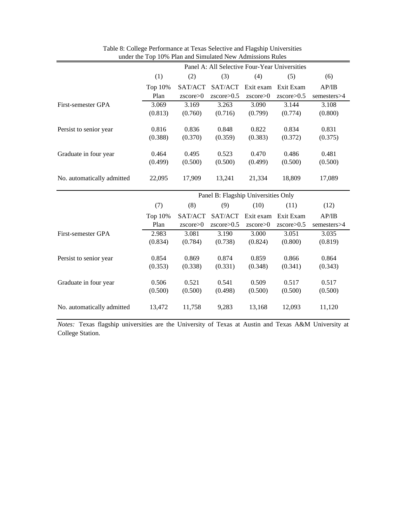|                            | Panel A: All Selective Four-Year Universities |          |                                     |           |            |             |  |  |  |
|----------------------------|-----------------------------------------------|----------|-------------------------------------|-----------|------------|-------------|--|--|--|
|                            | (1)                                           | (2)      | (3)                                 | (4)       | (5)        | (6)         |  |  |  |
|                            | Top 10%                                       | SAT/ACT  | SAT/ACT                             | Exit exam | Exit Exam  | AP/IB       |  |  |  |
|                            | Plan                                          | zscore>0 | zscore>0.5                          | zscore>0  | zscore>0.5 | semesters>4 |  |  |  |
| First-semester GPA         | 3.069                                         | 3.169    | 3.263                               | 3.090     | 3.144      | 3.108       |  |  |  |
|                            | (0.813)                                       | (0.760)  | (0.716)                             | (0.799)   | (0.774)    | (0.800)     |  |  |  |
| Persist to senior year     | 0.816                                         | 0.836    | 0.848                               | 0.822     | 0.834      | 0.831       |  |  |  |
|                            | (0.388)                                       | (0.370)  | (0.359)                             | (0.383)   | (0.372)    | (0.375)     |  |  |  |
|                            |                                               |          |                                     |           |            |             |  |  |  |
| Graduate in four year      | 0.464                                         | 0.495    | 0.523                               | 0.470     | 0.486      | 0.481       |  |  |  |
|                            | (0.499)                                       | (0.500)  | (0.500)                             | (0.499)   | (0.500)    | (0.500)     |  |  |  |
|                            |                                               |          |                                     |           |            |             |  |  |  |
| No. automatically admitted | 22,095                                        | 17,909   | 13,241                              | 21,334    | 18,809     | 17,089      |  |  |  |
|                            |                                               |          | Panel B: Flagship Universities Only |           |            |             |  |  |  |
|                            | (7)                                           | (8)      | (9)                                 | (10)      | (11)       | (12)        |  |  |  |
|                            | Top 10%                                       | SAT/ACT  | SAT/ACT                             | Exit exam | Exit Exam  | AP/IB       |  |  |  |
|                            | Plan                                          | zscore>0 | zscore>0.5                          | zscore>0  | zscore>0.5 | semesters>4 |  |  |  |
| First-semester GPA         | 2.983                                         | 3.081    | 3.190                               | 3.000     | 3.051      | 3.035       |  |  |  |
|                            | (0.834)                                       | (0.784)  | (0.738)                             | (0.824)   | (0.800)    | (0.819)     |  |  |  |
| Persist to senior year     | 0.854                                         | 0.869    | 0.874                               | 0.859     | 0.866      | 0.864       |  |  |  |
|                            | (0.353)                                       | (0.338)  | (0.331)                             | (0.348)   | (0.341)    | (0.343)     |  |  |  |
|                            |                                               |          |                                     |           |            |             |  |  |  |
| Graduate in four year      | 0.506                                         | 0.521    | 0.541                               | 0.509     | 0.517      | 0.517       |  |  |  |
|                            | (0.500)                                       | (0.500)  | (0.498)                             | (0.500)   | (0.500)    | (0.500)     |  |  |  |
| No. automatically admitted | 13,472                                        | 11,758   | 9,283                               | 13,168    | 12,093     | 11,120      |  |  |  |

Table 8: College Performance at Texas Selective and Flagship Universities under the Top 10% Plan and Simulated New Admissions Rules

*Notes:* Texas flagship universities are the University of Texas at Austin and Texas A&M University at College Station.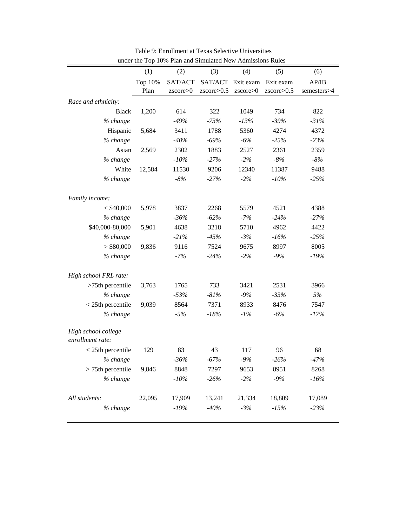|                                         | (1)     | (2)      | and the TOP TO $\theta$ T and and Dimartical TOW Trainissions Kates<br>(3) | (4)       | (5)        | (6)         |
|-----------------------------------------|---------|----------|----------------------------------------------------------------------------|-----------|------------|-------------|
|                                         | Top 10% | SAT/ACT  | SAT/ACT                                                                    | Exit exam | Exit exam  | AP/IB       |
|                                         | Plan    | zscore>0 | zscore>0.5                                                                 | zscore>0  | zscore>0.5 | semesters>4 |
| Race and ethnicity:                     |         |          |                                                                            |           |            |             |
| <b>Black</b>                            | 1,200   | 614      | 322                                                                        | 1049      | 734        | 822         |
| % change                                |         | $-49%$   | $-73%$                                                                     | $-13%$    | $-39%$     | $-31%$      |
| Hispanic                                | 5,684   | 3411     | 1788                                                                       | 5360      | 4274       | 4372        |
| % change                                |         | $-40%$   | $-69%$                                                                     | $-6%$     | $-25%$     | $-23%$      |
| Asian                                   | 2,569   | 2302     | 1883                                                                       | 2527      | 2361       | 2359        |
| % change                                |         | $-10%$   | $-27%$                                                                     | $-2%$     | $-8%$      | $-8\%$      |
| White                                   | 12,584  | 11530    | 9206                                                                       | 12340     | 11387      | 9488        |
| % change                                |         | $-8\%$   | $-27%$                                                                     | $-2%$     | $-10%$     | $-25%$      |
| Family income:                          |         |          |                                                                            |           |            |             |
| $<$ \$40,000                            | 5,978   | 3837     | 2268                                                                       | 5579      | 4521       | 4388        |
| % change                                |         | $-36%$   | $-62\%$                                                                    | $-7%$     | $-24%$     | $-27%$      |
| \$40,000-80,000                         | 5,901   | 4638     | 3218                                                                       | 5710      | 4962       | 4422        |
| % change                                |         | $-21%$   | $-45%$                                                                     | $-3%$     | $-16%$     | $-25%$      |
| > \$80,000                              | 9,836   | 9116     | 7524                                                                       | 9675      | 8997       | 8005        |
| % change                                |         | $-7%$    | $-24%$                                                                     | $-2%$     | $-9%$      | $-19%$      |
| High school FRL rate:                   |         |          |                                                                            |           |            |             |
| >75th percentile                        | 3,763   | 1765     | 733                                                                        | 3421      | 2531       | 3966        |
| % change                                |         | $-53%$   | $-81%$                                                                     | $-9%$     | $-33%$     | 5%          |
| $<$ 25th percentile                     | 9,039   | 8564     | 7371                                                                       | 8933      | 8476       | 7547        |
| % change                                |         | $-5%$    | $-18%$                                                                     | $-1%$     | $-6%$      | $-17%$      |
| High school college<br>enrollment rate: |         |          |                                                                            |           |            |             |
| $<$ 25th percentile                     | 129     | 83       | 43                                                                         | 117       | 96         | 68          |
| % change                                |         | 36%      | $-67\%$                                                                    | $-9%$     | -26%       | 47%         |
| $>$ 75th percentile                     | 9,846   | 8848     | 7297                                                                       | 9653      | 8951       | 8268        |
| % change                                |         | $-10%$   | $-26%$                                                                     | $-2%$     | $-9%$      | $-16%$      |
| All students:                           | 22,095  | 17,909   | 13,241                                                                     | 21,334    | 18,809     | 17,089      |
| % change                                |         | $-19%$   | $-40%$                                                                     | $-3%$     | $-15%$     | $-23%$      |

under the Top 10% Plan and Simulated New Admissions Rules Table 9: Enrollment at Texas Selective Universities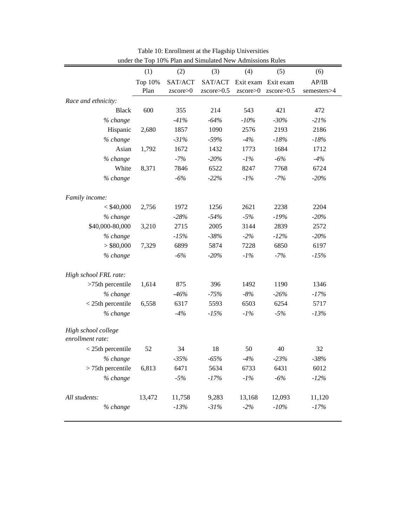|                                         | (1)     | (2)      | (3)        | (4)      | (5)                 | (6)         |
|-----------------------------------------|---------|----------|------------|----------|---------------------|-------------|
|                                         | Top 10% | SAT/ACT  | SAT/ACT    |          | Exit exam Exit exam | AP/IB       |
|                                         | Plan    | zscore>0 | zscore>0.5 | zscore>0 | zscore>0.5          | semesters>4 |
| Race and ethnicity:                     |         |          |            |          |                     |             |
| <b>Black</b>                            | 600     | 355      | 214        | 543      | 421                 | 472         |
| % change                                |         | $-41%$   | $-64%$     | $-10%$   | $-30%$              | $-21%$      |
| Hispanic                                | 2,680   | 1857     | 1090       | 2576     | 2193                | 2186        |
| % change                                |         | $-31%$   | $-59%$     | $-4%$    | $-18%$              | $-18%$      |
| Asian                                   | 1,792   | 1672     | 1432       | 1773     | 1684                | 1712        |
| % change                                |         | $-7%$    | $-20%$     | $-1%$    | $-6%$               | $-4%$       |
| White                                   | 8,371   | 7846     | 6522       | 8247     | 7768                | 6724        |
| % change                                |         | $-6%$    | $-22%$     | $-1%$    | $-7%$               | $-20%$      |
| Family income:                          |         |          |            |          |                     |             |
| $<$ \$40,000                            | 2,756   | 1972     | 1256       | 2621     | 2238                | 2204        |
| % change                                |         | $-28%$   | $-54%$     | $-5%$    | $-19%$              | $-20%$      |
| \$40,000-80,000                         | 3,210   | 2715     | 2005       | 3144     | 2839                | 2572        |
| % change                                |         | $-15%$   | $-38%$     | $-2%$    | $-12%$              | $-20%$      |
| > \$80,000                              | 7,329   | 6899     | 5874       | 7228     | 6850                | 6197        |
| % change                                |         | $-6%$    | $-20%$     | $-1%$    | $-7%$               | $-15%$      |
| High school FRL rate:                   |         |          |            |          |                     |             |
| >75th percentile                        | 1,614   | 875      | 396        | 1492     | 1190                | 1346        |
| % change                                |         | -46%     | $-75%$     | $-8%$    | $-26%$              | $-17%$      |
| $<$ 25th percentile                     | 6,558   | 6317     | 5593       | 6503     | 6254                | 5717        |
| % change                                |         | $-4%$    | $-15%$     | $-1%$    | $-5%$               | $-13%$      |
| High school college<br>enrollment rate: |         |          |            |          |                     |             |
| $<$ 25th percentile                     | 52      | 34       | 18         | 50       | 40                  | 32          |
| % change                                |         | $-35\%$  | $-65\%$    | $-4%$    | $-23%$              | -38%        |
| $> 75$ th percentile                    | 6,813   | 6471     | 5634       | 6733     | 6431                | 6012        |
| % change                                |         | $-5%$    | $-17%$     | $-1%$    | $-6%$               | $-12%$      |
| All students:                           | 13,472  | 11,758   | 9,283      | 13,168   | 12,093              | 11,120      |
| % change                                |         | $-13%$   | $-31%$     | $-2%$    | $-10\%$             | $-17%$      |

under the Top 10% Plan and Simulated New Admissions Rules Table 10: Enrollment at the Flagship Universities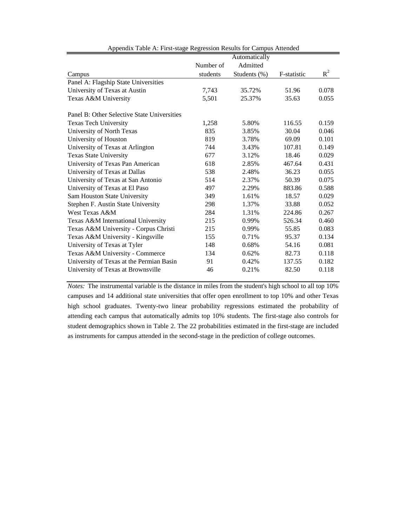|                                             |           | Automatically |             |       |
|---------------------------------------------|-----------|---------------|-------------|-------|
|                                             | Number of | Admitted      |             |       |
| Campus                                      | students  | Students (%)  | F-statistic | $R^2$ |
| Panel A: Flagship State Universities        |           |               |             |       |
| University of Texas at Austin               | 7,743     | 35.72%        | 51.96       | 0.078 |
| Texas A&M University                        | 5,501     | 25.37%        | 35.63       | 0.055 |
| Panel B: Other Selective State Universities |           |               |             |       |
| <b>Texas Tech University</b>                | 1,258     | 5.80%         | 116.55      | 0.159 |
| University of North Texas                   | 835       | 3.85%         | 30.04       | 0.046 |
| University of Houston                       | 819       | 3.78%         | 69.09       | 0.101 |
| University of Texas at Arlington            | 744       | 3.43%         | 107.81      | 0.149 |
| <b>Texas State University</b>               | 677       | 3.12%         | 18.46       | 0.029 |
| University of Texas Pan American            | 618       | 2.85%         | 467.64      | 0.431 |
| University of Texas at Dallas               | 538       | 2.48%         | 36.23       | 0.055 |
| University of Texas at San Antonio          | 514       | 2.37%         | 50.39       | 0.075 |
| University of Texas at El Paso              | 497       | 2.29%         | 883.86      | 0.588 |
| Sam Houston State University                | 349       | 1.61%         | 18.57       | 0.029 |
| Stephen F. Austin State University          | 298       | 1.37%         | 33.88       | 0.052 |
| West Texas A&M                              | 284       | 1.31%         | 224.86      | 0.267 |
| Texas A&M International University          | 215       | 0.99%         | 526.34      | 0.460 |
| Texas A&M University - Corpus Christi       | 215       | 0.99%         | 55.85       | 0.083 |
| Texas A&M University - Kingsville           | 155       | 0.71%         | 95.37       | 0.134 |
| University of Texas at Tyler                | 148       | 0.68%         | 54.16       | 0.081 |
| Texas A&M University - Commerce             | 134       | 0.62%         | 82.73       | 0.118 |
| University of Texas at the Permian Basin    | 91        | 0.42%         | 137.55      | 0.182 |
| University of Texas at Brownsville          | 46        | 0.21%         | 82.50       | 0.118 |

Appendix Table A: First-stage Regression Results for Campus Attended

*Notes:* The instrumental variable is the distance in miles from the student's high school to all top 10% campuses and 14 additional state universities that offer open enrollment to top 10% and other Texas high school graduates. Twenty-two linear probability regressions estimated the probability of attending each campus that automatically admits top 10% students. The first-stage also controls for student demographics shown in Table 2. The 22 probabilities estimated in the first-stage are included as instruments for campus attended in the second-stage in the prediction of college outcomes.